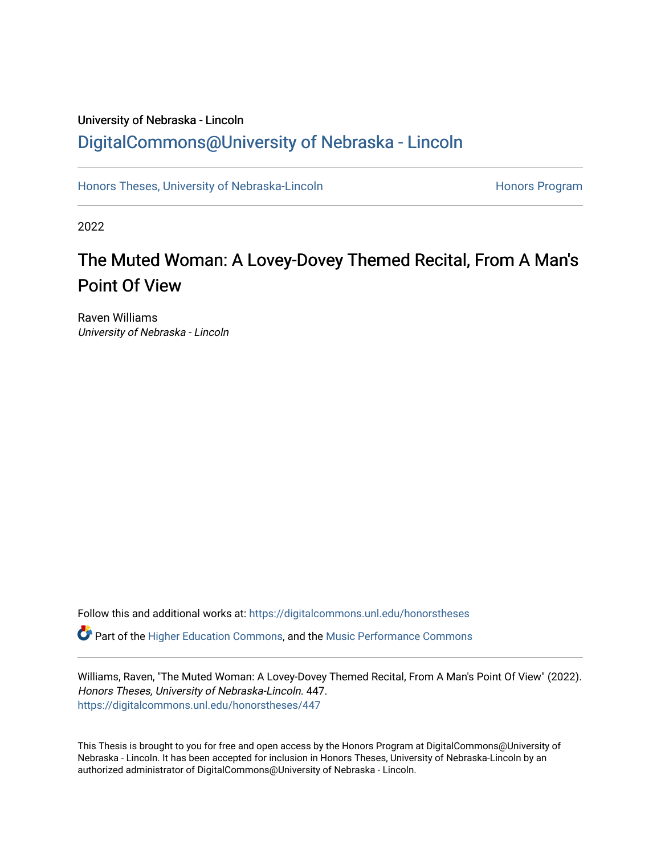# University of Nebraska - Lincoln [DigitalCommons@University of Nebraska - Lincoln](https://digitalcommons.unl.edu/)

[Honors Theses, University of Nebraska-Lincoln](https://digitalcommons.unl.edu/honorstheses) **Honors Program** Honors Program

2022

# The Muted Woman: A Lovey-Dovey Themed Recital, From A Man's Point Of View

Raven Williams University of Nebraska - Lincoln

Follow this and additional works at: [https://digitalcommons.unl.edu/honorstheses](https://digitalcommons.unl.edu/honorstheses?utm_source=digitalcommons.unl.edu%2Fhonorstheses%2F447&utm_medium=PDF&utm_campaign=PDFCoverPages) Part of the [Higher Education Commons,](http://network.bepress.com/hgg/discipline/1245?utm_source=digitalcommons.unl.edu%2Fhonorstheses%2F447&utm_medium=PDF&utm_campaign=PDFCoverPages) and the [Music Performance Commons](http://network.bepress.com/hgg/discipline/1128?utm_source=digitalcommons.unl.edu%2Fhonorstheses%2F447&utm_medium=PDF&utm_campaign=PDFCoverPages) 

Williams, Raven, "The Muted Woman: A Lovey-Dovey Themed Recital, From A Man's Point Of View" (2022). Honors Theses, University of Nebraska-Lincoln. 447. [https://digitalcommons.unl.edu/honorstheses/447](https://digitalcommons.unl.edu/honorstheses/447?utm_source=digitalcommons.unl.edu%2Fhonorstheses%2F447&utm_medium=PDF&utm_campaign=PDFCoverPages)

This Thesis is brought to you for free and open access by the Honors Program at DigitalCommons@University of Nebraska - Lincoln. It has been accepted for inclusion in Honors Theses, University of Nebraska-Lincoln by an authorized administrator of DigitalCommons@University of Nebraska - Lincoln.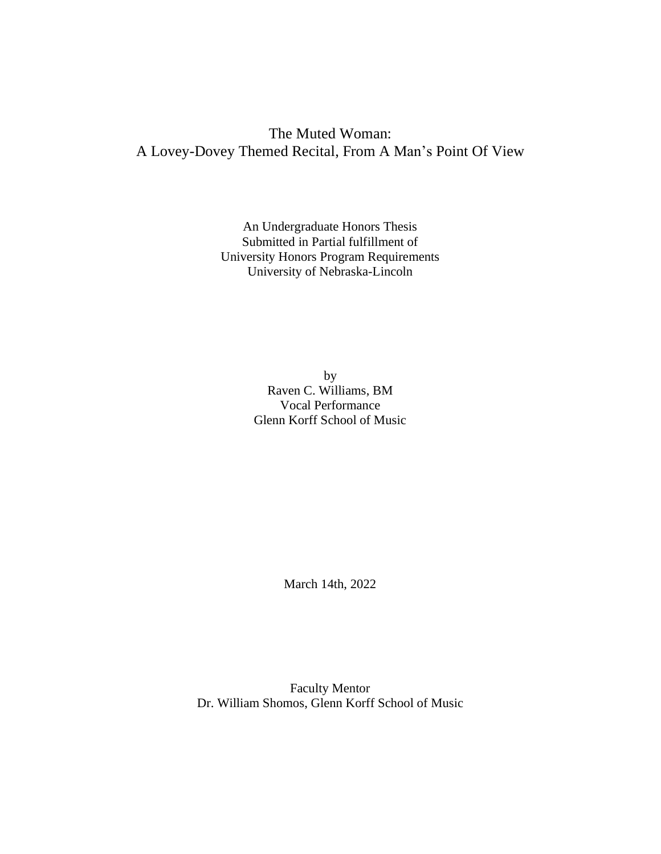An Undergraduate Honors Thesis Submitted in Partial fulfillment of University Honors Program Requirements University of Nebraska-Lincoln

> by Raven C. Williams, BM Vocal Performance Glenn Korff School of Music

> > March 14th, 2022

Faculty Mentor Dr. William Shomos, Glenn Korff School of Music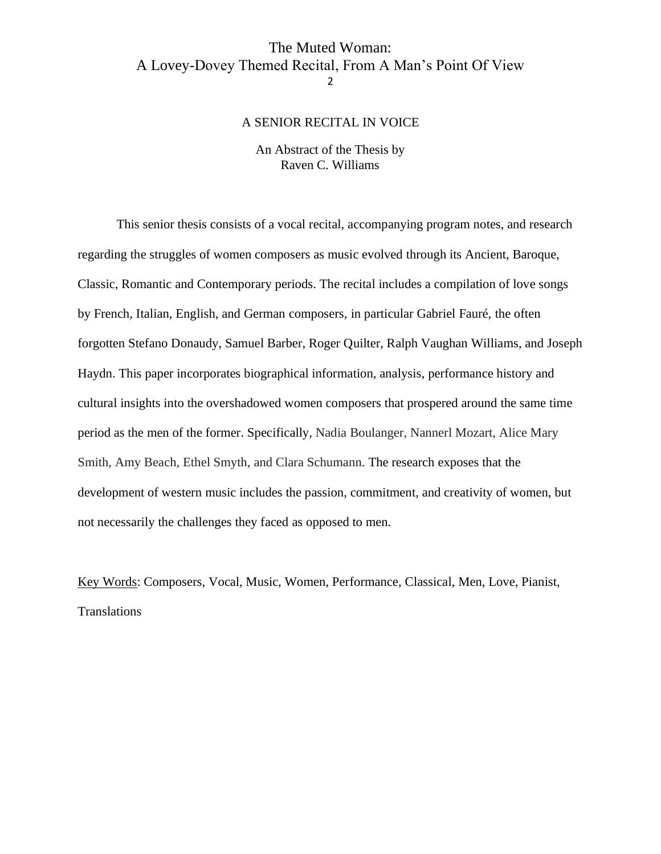#### A SENIOR RECITAL IN VOICE

#### An Abstract of the Thesis by Raven C. Williams

<span id="page-2-0"></span>This senior thesis consists of a vocal recital, accompanying program notes, and research regarding the struggles of women composers as music evolved through its Ancient, Baroque, Classic, Romantic and Contemporary periods. The recital includes a compilation of love songs by French, Italian, English, and German composers, in particular Gabriel Fauré, the often forgotten Stefano Donaudy, Samuel Barber, Roger Quilter, Ralph Vaughan Williams, and Joseph Haydn. This paper incorporates biographical information, analysis, performance history and cultural insights into the overshadowed women composers that prospered around the same time period as the men of the former. Specifically, Nadia Boulanger, Nannerl Mozart, Alice Mary Smith, Amy Beach, Ethel Smyth, and Clara Schumann. The research exposes that the development of western music includes the passion, commitment, and creativity of women, but not necessarily the challenges they faced as opposed to men.

Key Words: Composers, Vocal, Music, Women, Performance, Classical, Men, Love, Pianist, Translations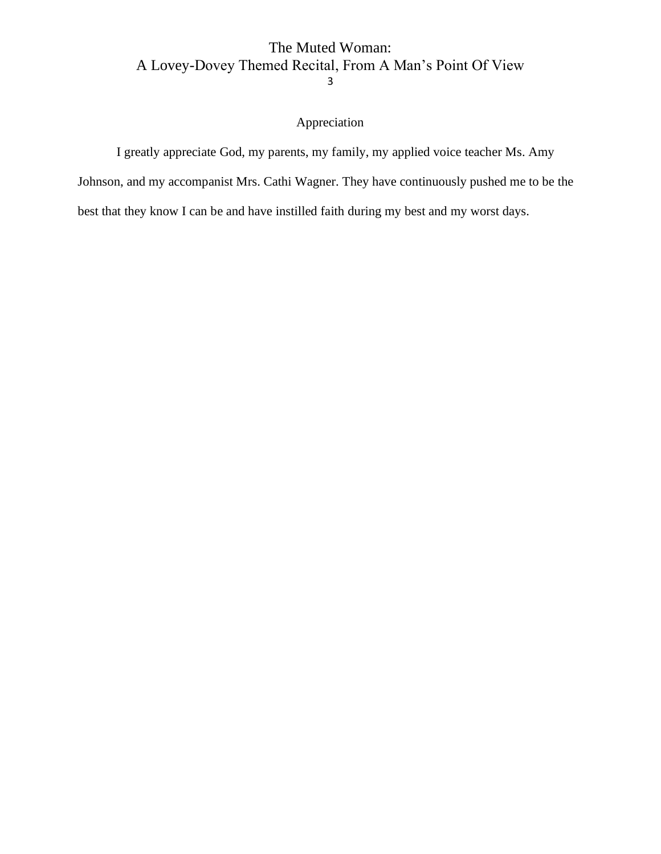# Appreciation

<span id="page-3-0"></span>I greatly appreciate God, my parents, my family, my applied voice teacher Ms. Amy Johnson, and my accompanist Mrs. Cathi Wagner. They have continuously pushed me to be the best that they know I can be and have instilled faith during my best and my worst days.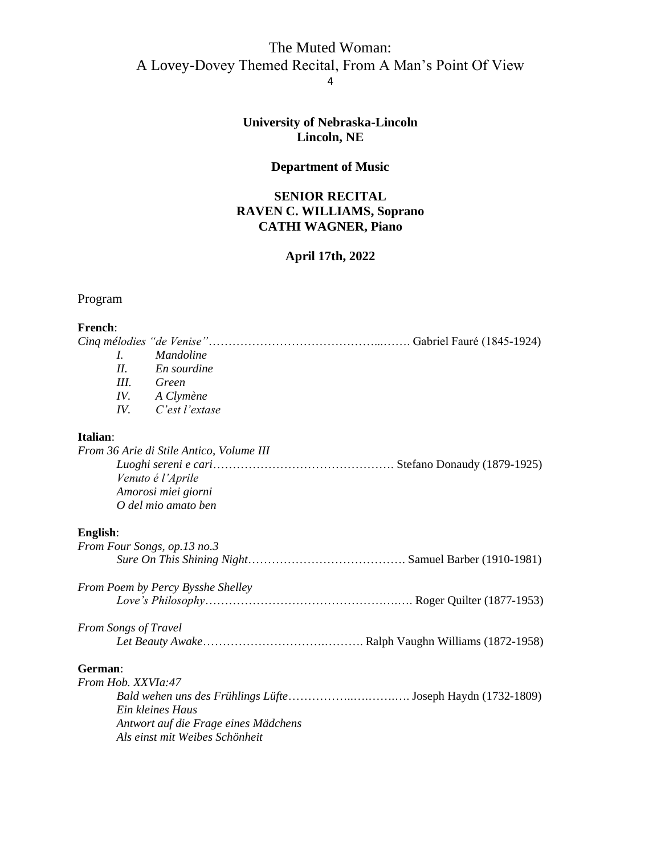# **University of Nebraska-Lincoln Lincoln, NE**

# **Department of Music**

# **SENIOR RECITAL RAVEN C. WILLIAMS, Soprano CATHI WAGNER, Piano**

# **April 17th, 2022**

# <span id="page-4-0"></span>Program

#### **French**:

| L                           | <i>Mandoline</i>                         |
|-----------------------------|------------------------------------------|
| II                          | En sourdine                              |
|                             | III. Green                               |
| IV.                         | A Clymène                                |
| IV.                         | C'est l'extase                           |
| Italian:                    |                                          |
|                             | From 36 Arie di Stile Antico, Volume III |
|                             |                                          |
|                             | Venuto é l'Aprile                        |
|                             | Amorosi miei giorni                      |
|                             | O del mio amato ben                      |
| English:                    |                                          |
|                             | From Four Songs, op.13 no.3              |
|                             |                                          |
|                             | From Poem by Percy Bysshe Shelley        |
|                             |                                          |
| <b>From Songs of Travel</b> |                                          |
|                             |                                          |
| German:                     |                                          |
| From Hob. XXVIa:47          |                                          |
|                             |                                          |
|                             | Ein kleines Haus                         |
|                             | Antwort auf die Frage eines Mädchens     |
|                             | Als einst mit Weibes Schönheit           |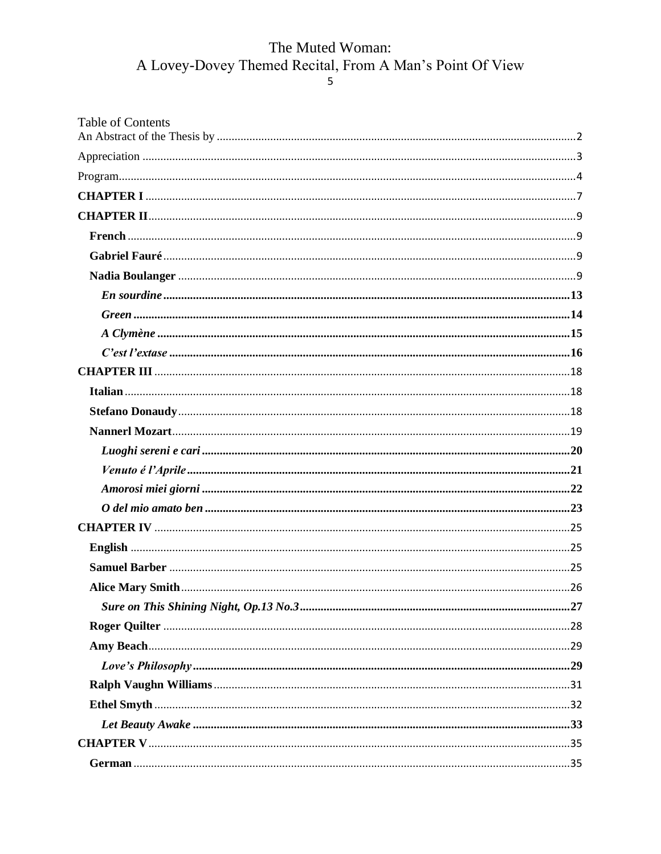| <b>Table of Contents</b> |  |
|--------------------------|--|
|                          |  |
|                          |  |
|                          |  |
|                          |  |
|                          |  |
|                          |  |
|                          |  |
|                          |  |
|                          |  |
|                          |  |
|                          |  |
|                          |  |
|                          |  |
|                          |  |
|                          |  |
|                          |  |
|                          |  |
|                          |  |
|                          |  |
|                          |  |
|                          |  |
|                          |  |
|                          |  |
|                          |  |
|                          |  |
|                          |  |
|                          |  |
|                          |  |
|                          |  |
|                          |  |
|                          |  |
|                          |  |
|                          |  |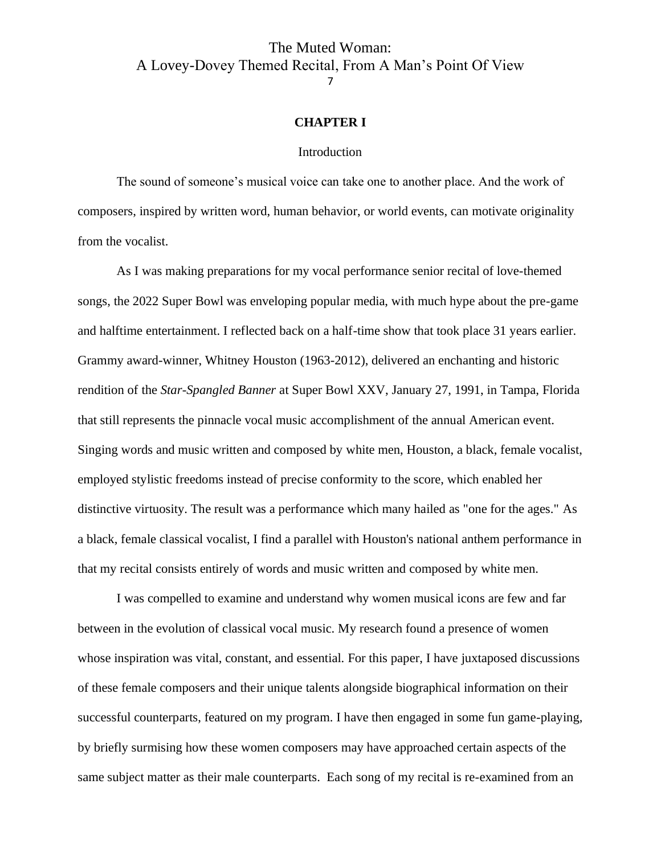#### **CHAPTER I**

#### **Introduction**

<span id="page-7-0"></span>The sound of someone's musical voice can take one to another place. And the work of composers, inspired by written word, human behavior, or world events, can motivate originality from the vocalist.

As I was making preparations for my vocal performance senior recital of love-themed songs, the 2022 Super Bowl was enveloping popular media, with much hype about the pre-game and halftime entertainment. I reflected back on a half-time show that took place 31 years earlier. Grammy award-winner, Whitney Houston (1963-2012), delivered an enchanting and historic rendition of the *Star-Spangled Banner* at Super Bowl XXV, January 27, 1991, in Tampa, Florida that still represents the pinnacle vocal music accomplishment of the annual American event. Singing words and music written and composed by white men, Houston, a black, female vocalist, employed stylistic freedoms instead of precise conformity to the score, which enabled her distinctive virtuosity. The result was a performance which many hailed as "one for the ages." As a black, female classical vocalist, I find a parallel with Houston's national anthem performance in that my recital consists entirely of words and music written and composed by white men.

I was compelled to examine and understand why women musical icons are few and far between in the evolution of classical vocal music. My research found a presence of women whose inspiration was vital, constant, and essential. For this paper, I have juxtaposed discussions of these female composers and their unique talents alongside biographical information on their successful counterparts, featured on my program. I have then engaged in some fun game-playing, by briefly surmising how these women composers may have approached certain aspects of the same subject matter as their male counterparts. Each song of my recital is re-examined from an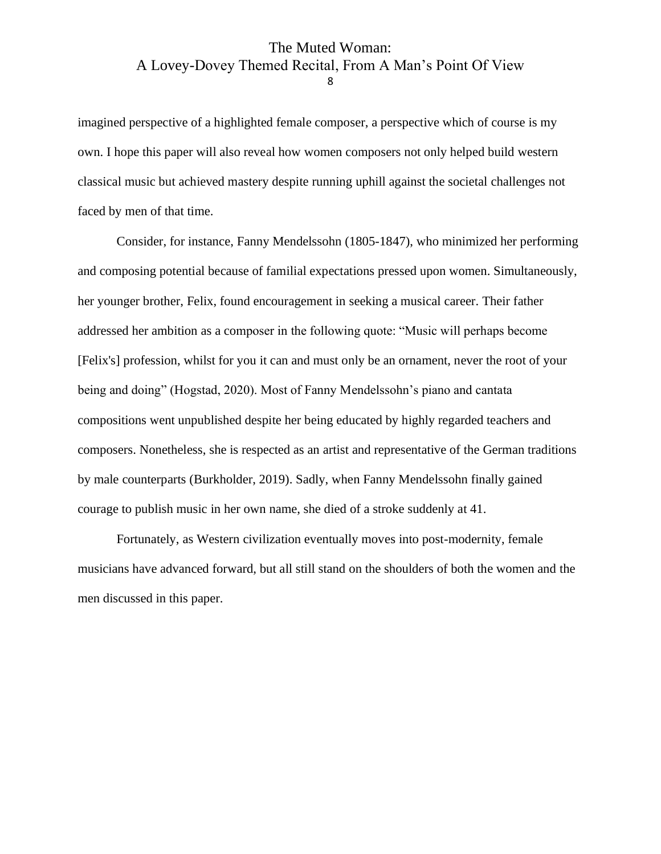imagined perspective of a highlighted female composer, a perspective which of course is my own. I hope this paper will also reveal how women composers not only helped build western classical music but achieved mastery despite running uphill against the societal challenges not faced by men of that time.

Consider, for instance, Fanny Mendelssohn (1805-1847), who minimized her performing and composing potential because of familial expectations pressed upon women. Simultaneously, her younger brother, Felix, found encouragement in seeking a musical career. Their father addressed her ambition as a composer in the following quote: "Music will perhaps become [Felix's] profession, whilst for you it can and must only be an ornament, never the root of your being and doing" (Hogstad, 2020). Most of Fanny Mendelssohn's piano and cantata compositions went unpublished despite her being educated by highly regarded teachers and composers. Nonetheless, she is respected as an artist and representative of the German traditions by male counterparts (Burkholder, 2019). Sadly, when Fanny Mendelssohn finally gained courage to publish music in her own name, she died of a stroke suddenly at 41.

Fortunately, as Western civilization eventually moves into post-modernity, female musicians have advanced forward, but all still stand on the shoulders of both the women and the men discussed in this paper.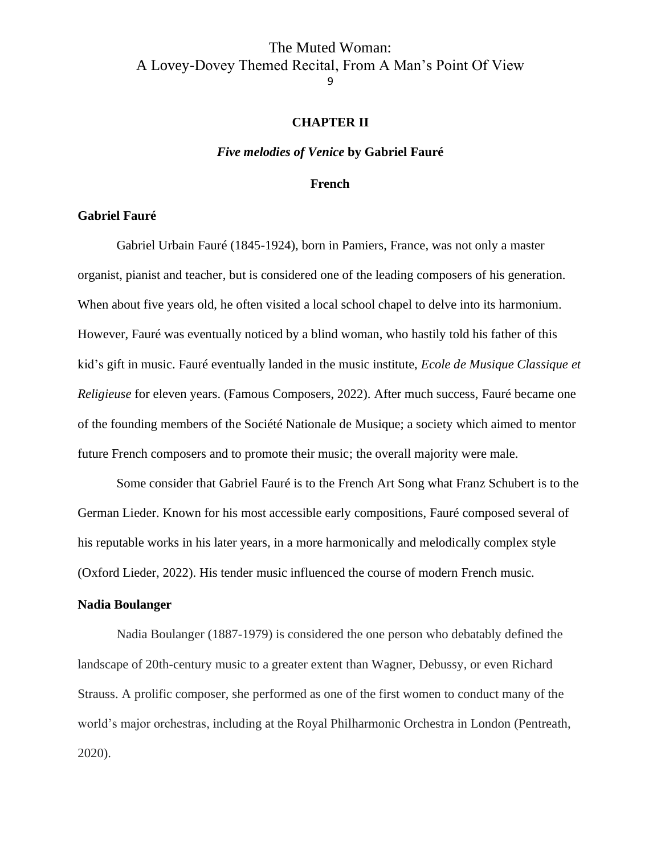### **CHAPTER II**

#### *Five melodies of Venice* **by Gabriel Fauré**

#### **French**

#### <span id="page-9-2"></span><span id="page-9-1"></span><span id="page-9-0"></span>**Gabriel Fauré**

Gabriel Urbain Fauré (1845-1924), born in Pamiers, France, was not only a master organist, pianist and teacher, but is considered one of the leading composers of his generation. When about five years old, he often visited a local school chapel to delve into its harmonium. However, Fauré was eventually noticed by a blind woman, who hastily told his father of this kid's gift in music. Fauré eventually landed in the music institute, *Ecole de Musique Classique et Religieuse* for eleven years. (Famous Composers, 2022). After much success, Fauré became one of the founding members of the Société Nationale de Musique; a society which aimed to mentor future French composers and to promote their music; the overall majority were male.

Some consider that Gabriel Fauré is to the French Art Song what Franz Schubert is to the German Lieder. Known for his most accessible early compositions, Fauré composed several of his reputable works in his later years, in a more harmonically and melodically complex style (Oxford Lieder, 2022). His tender music influenced the course of modern French music.

# <span id="page-9-3"></span>**Nadia Boulanger**

Nadia Boulanger (1887-1979) is considered the one person who debatably defined the landscape of 20th-century music to a greater extent than Wagner, Debussy, or even Richard Strauss. A prolific composer, she performed as one of the first women to conduct many of the world's major orchestras, including at the Royal Philharmonic Orchestra in London (Pentreath, 2020).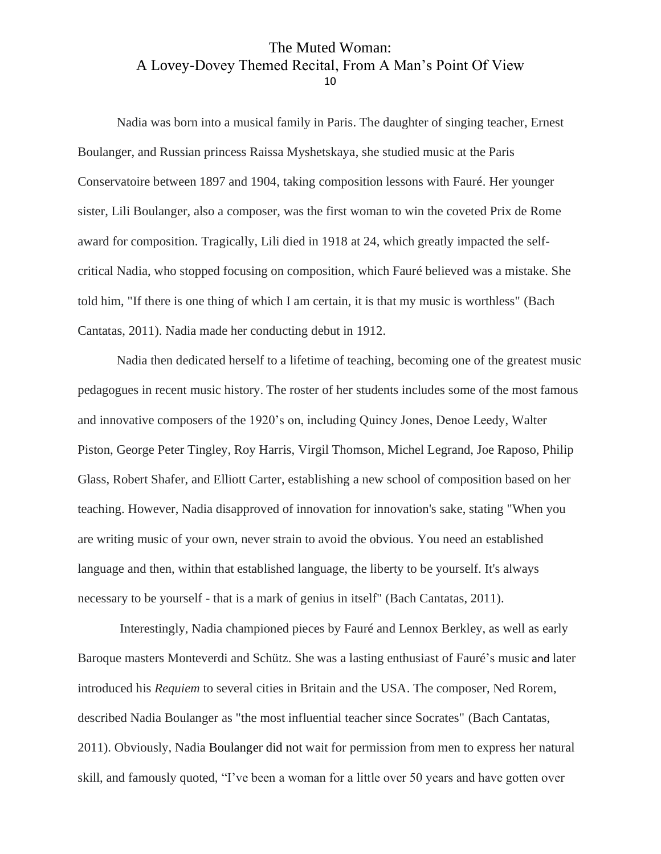Nadia was born into a musical family in Paris. The daughter of singing teacher, Ernest Boulanger, and Russian princess Raissa Myshetskaya, she studied music at the Paris Conservatoire between 1897 and 1904, taking composition lessons with Fauré. Her younger sister, Lili Boulanger, also a composer, was the first woman to win the coveted Prix de Rome award for composition. Tragically, Lili died in 1918 at 24, which greatly impacted the selfcritical Nadia, who stopped focusing on composition, which Fauré believed was a mistake. She told him, "If there is one thing of which I am certain, it is that my music is worthless" (Bach Cantatas, 2011). Nadia made her conducting debut in 1912.

Nadia then dedicated herself to a lifetime of teaching, becoming one of the greatest music pedagogues in recent music history. The roster of her students includes some of the most famous and innovative composers of the 1920's on, including Quincy Jones, Denoe Leedy, Walter Piston, George Peter Tingley, Roy Harris, Virgil Thomson, Michel Legrand, Joe Raposo, Philip Glass, Robert Shafer, and Elliott Carter, establishing a new school of composition based on her teaching. However, Nadia disapproved of innovation for innovation's sake, stating "When you are writing music of your own, never strain to avoid the obvious. You need an established language and then, within that established language, the liberty to be yourself. It's always necessary to be yourself - that is a mark of genius in itself" (Bach Cantatas, 2011).

Interestingly, Nadia championed pieces by Fauré and Lennox Berkley, as well as early Baroque masters Monteverdi and Schütz. She was a lasting enthusiast of Fauré's music and later introduced his *Requiem* to several cities in Britain and the USA. The composer, Ned Rorem, described Nadia Boulanger as "the most influential teacher since Socrates" (Bach Cantatas, 2011). Obviously, Nadia Boulanger did not wait for permission from men to express her natural skill, and famously quoted, "I've been a woman for a little over 50 years and have gotten over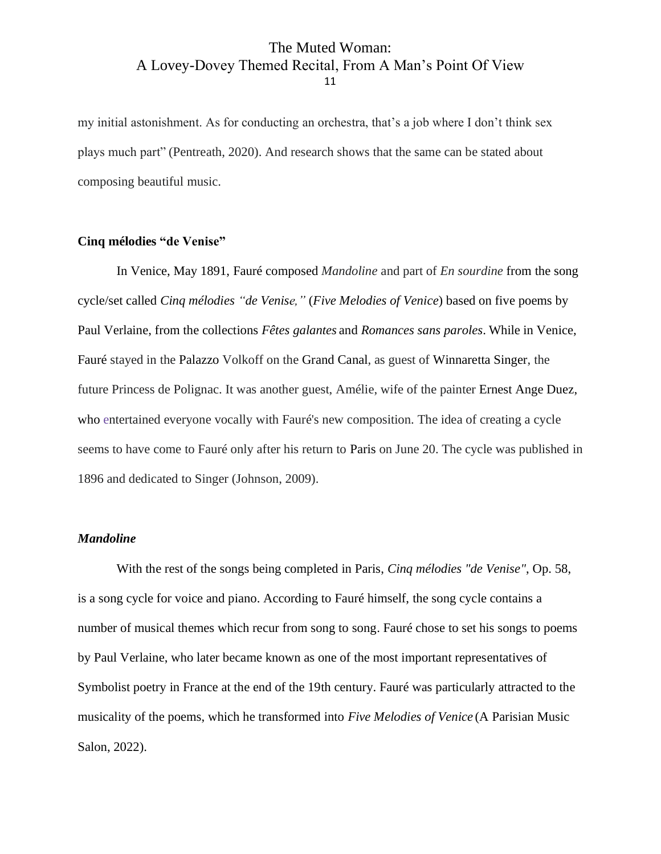my initial astonishment. As for conducting an orchestra, that's a job where I don't think sex plays much part" (Pentreath, 2020). And research shows that the same can be stated about composing beautiful music.

#### **Cinq mélodies "de Venise"**

In Venice, May 1891, Fauré composed *Mandoline* and part of *En sourdine* from the song cycle/set called *Cinq mélodies "de Venise,"* (*Five Melodies of Venice*) based on five poems by Paul Verlaine, from the collections *Fêtes galantes* and *Romances sans paroles*. While in Venice, Fauré stayed in the [Palazzo](https://en.m.wikipedia.org/wiki/Palazzo) Volkoff on the Grand [Canal,](https://en.m.wikipedia.org/wiki/Grand_Canal_(Venice)) as guest of [Winnaretta](https://en.m.wikipedia.org/wiki/Winnaretta_Singer) Singer, the future Princess de Polignac. It was another guest, Amélie, wife of the painter [Ernest](https://en.m.wikipedia.org/wiki/Ernest_Ange_Duez) Ange Duez, who entertained everyone vocally with Fauré's new composition. The idea of creating a cycle seems to have come to Fauré only after his return to [Paris](https://en.m.wikipedia.org/wiki/Paris) on June 20. The cycle was published in 1896 and dedicated to Singer (Johnson, 2009).

#### *Mandoline*

With the rest of the songs being completed in Paris, *Cinq mélodies "de Venise"*, Op. 58, is a song cycle for voice and piano. According to Fauré himself, the song cycle contains a number of musical themes which recur from song to song. Fauré chose to set his songs to poems by Paul Verlaine, who later became known as one of the most important representatives of Symbolist poetry in France at the end of the 19th century. Fauré was particularly attracted to the musicality of the poems, which he transformed into *Five Melodies of Venice* (A Parisian Music Salon, 2022).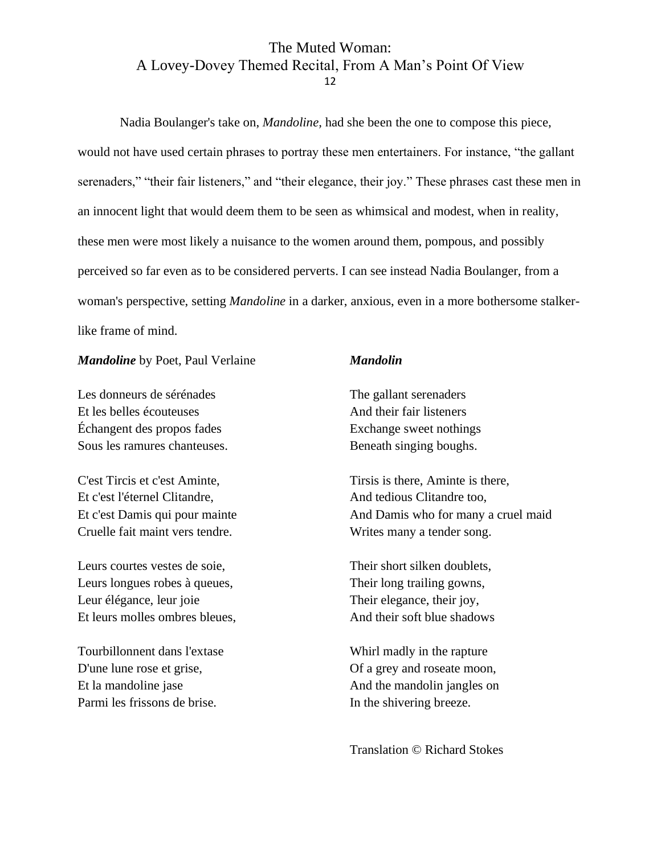Nadia Boulanger's take on, *Mandoline,* had she been the one to compose this piece, would not have used certain phrases to portray these men entertainers. For instance, "the gallant serenaders," "their fair listeners," and "their elegance, their joy." These phrases cast these men in an innocent light that would deem them to be seen as whimsical and modest, when in reality, these men were most likely a nuisance to the women around them, pompous, and possibly perceived so far even as to be considered perverts. I can see instead Nadia Boulanger, from a woman's perspective, setting *Mandoline* in a darker, anxious, even in a more bothersome stalkerlike frame of mind.

#### *Mandoline* by Poet, Paul Verlaine

Les donneurs de sérénades Et les belles écouteuses Échangent des propos fades Sous les ramures chanteuses.

C'est Tircis et c'est Aminte, Et c'est l'éternel Clitandre, Et c'est Damis qui pour mainte Cruelle fait maint vers tendre.

Leurs courtes vestes de soie, Leurs longues robes à queues, Leur élégance, leur joie Et leurs molles ombres bleues,

Tourbillonnent dans l'extase D'une lune rose et grise, Et la mandoline jase Parmi les frissons de brise.

#### *Mandolin*

The gallant serenaders And their fair listeners Exchange sweet nothings Beneath singing boughs.

Tirsis is there, Aminte is there, And tedious Clitandre too, And Damis who for many a cruel maid Writes many a tender song.

Their short silken doublets, Their long trailing gowns, Their elegance, their joy, And their soft blue shadows

Whirl madly in the rapture Of a grey and roseate moon, And the mandolin jangles on In the shivering breeze.

Translation © Richard Stokes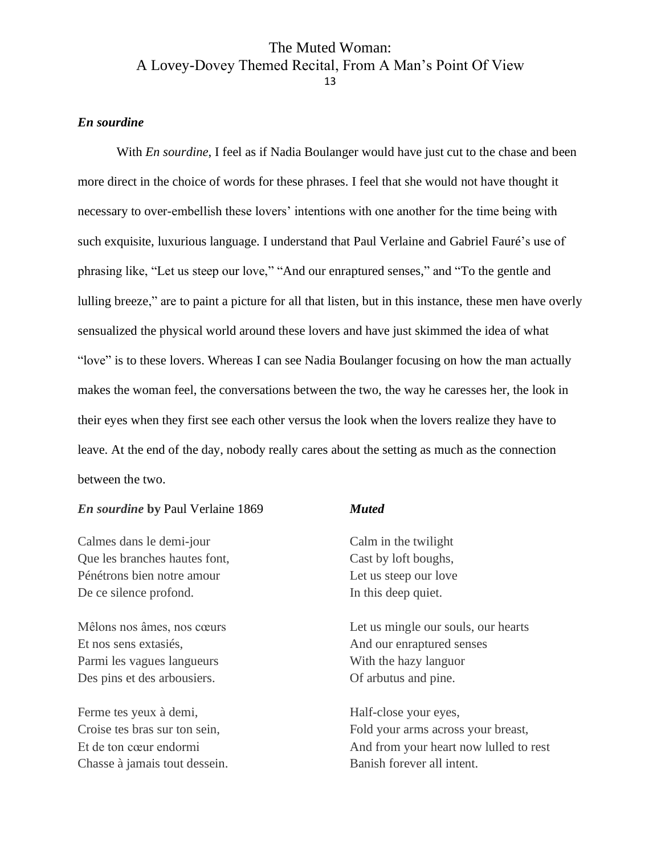#### <span id="page-13-0"></span>*En sourdine*

With *En sourdine*, I feel as if Nadia Boulanger would have just cut to the chase and been more direct in the choice of words for these phrases. I feel that she would not have thought it necessary to over-embellish these lovers' intentions with one another for the time being with such exquisite, luxurious language. I understand that Paul Verlaine and Gabriel Fauré's use of phrasing like, "Let us steep our love," "And our enraptured senses," and "To the gentle and lulling breeze," are to paint a picture for all that listen, but in this instance, these men have overly sensualized the physical world around these lovers and have just skimmed the idea of what "love" is to these lovers. Whereas I can see Nadia Boulanger focusing on how the man actually makes the woman feel, the conversations between the two, the way he caresses her, the look in their eyes when they first see each other versus the look when the lovers realize they have to leave. At the end of the day, nobody really cares about the setting as much as the connection between the two.

#### *En sourdine* **by** Paul Verlaine 1869

Calmes dans le demi-jour Que les branches hautes font, Pénétrons bien notre amour De ce silence profond.

Mêlons nos âmes, nos cœurs Et nos sens extasiés, Parmi les vagues langueurs Des pins et des arbousiers.

Ferme tes yeux à demi, Croise tes bras sur ton sein, Et de ton cœur endormi Chasse à jamais tout dessein.

#### *Muted*

Calm in the twilight Cast by loft boughs, Let us steep our love In this deep quiet.

Let us mingle our souls, our hearts And our enraptured senses With the hazy languor Of arbutus and pine.

Half-close your eyes, Fold your arms across your breast, And from your heart now lulled to rest Banish forever all intent.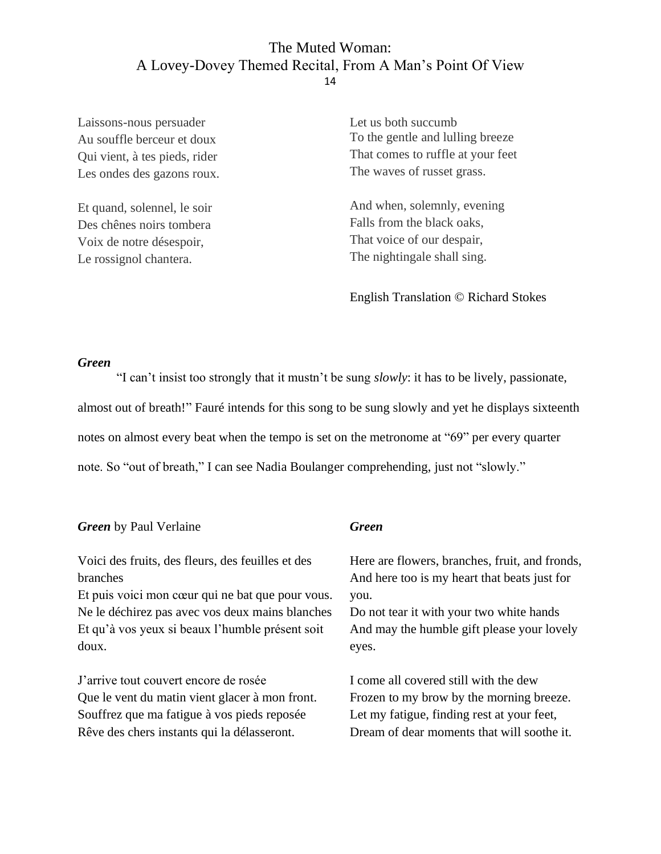Laissons-nous persuader Au souffle berceur et doux Qui vient, à tes pieds, rider Les ondes des gazons roux.

Et quand, solennel, le soir Des chênes noirs tombera Voix de notre désespoir, Le rossignol chantera.

Let us both succumb To the gentle and lulling breeze That comes to ruffle at your feet The waves of russet grass.

And when, solemnly, evening Falls from the black oaks, That voice of our despair, The nightingale shall sing.

English Translation © [Richard Stokes](https://www.oxfordlieder.co.uk/poet/238)

#### <span id="page-14-0"></span>*Green*

"I can't insist too strongly that it mustn't be sung *slowly*: it has to be lively, passionate, almost out of breath!" Fauré intends for this song to be sung slowly and yet he displays sixteenth notes on almost every beat when the tempo is set on the metronome at "69" per every quarter note. So "out of breath," I can see Nadia Boulanger comprehending, just not "slowly."

| <b>Green</b> by Paul Verlaine                     | <b>Green</b>                                   |
|---------------------------------------------------|------------------------------------------------|
| Voici des fruits, des fleurs, des feuilles et des | Here are flowers, branches, fruit, and fronds, |
| branches                                          | And here too is my heart that beats just for   |
| Et puis voici mon cœur qui ne bat que pour vous.  | you.                                           |
| Ne le déchirez pas avec vos deux mains blanches   | Do not tear it with your two white hands       |
| Et qu'à vos yeux si beaux l'humble présent soit   | And may the humble gift please your lovely     |
| doux.                                             | eyes.                                          |
| J'arrive tout couvert encore de rosée             | I come all covered still with the dew          |
| Que le vent du matin vient glacer à mon front.    | Frozen to my brow by the morning breeze.       |
| Souffrez que ma fatigue à vos pieds reposée       | Let my fatigue, finding rest at your feet,     |
| Rêve des chers instants qui la délasseront.       | Dream of dear moments that will soothe it.     |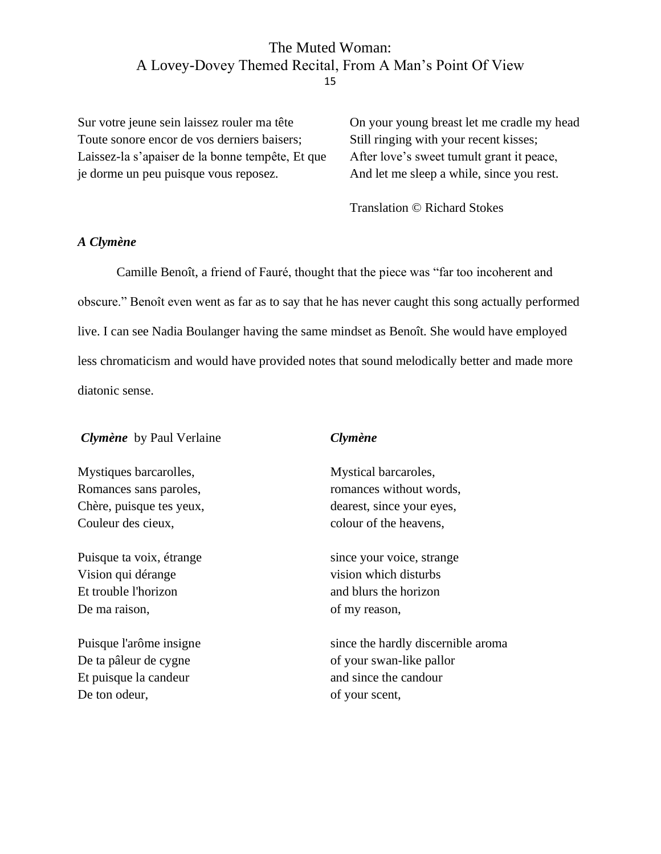Sur votre jeune sein laissez rouler ma tête Toute sonore encor de vos derniers baisers; Laissez-la s'apaiser de la bonne tempête, Et que je dorme un peu puisque vous reposez.

On your young breast let me cradle my head Still ringing with your recent kisses; After love's sweet tumult grant it peace, And let me sleep a while, since you rest.

Translation © Richard Stokes

#### <span id="page-15-0"></span>*A Clymène*

Camille Benoît, a friend of Fauré, thought that the piece was "far too incoherent and obscure." Benoît even went as far as to say that he has never caught this song actually performed live. I can see Nadia Boulanger having the same mindset as Benoît. She would have employed less chromaticism and would have provided notes that sound melodically better and made more diatonic sense.

#### *Clymène* by Paul Verlaine

Mystiques barcarolles, Romances sans paroles, Chère, puisque tes yeux, Couleur des cieux,

Puisque ta voix, étrange Vision qui dérange Et trouble l'horizon De ma raison,

Puisque l'arôme insigne De ta pâleur de cygne Et puisque la candeur De ton odeur,

#### *Clymène*

Mystical barcaroles, romances without words, dearest, since your eyes, colour of the heavens,

since your voice, strange vision which disturbs and blurs the horizon of my reason,

since the hardly discernible aroma of your swan-like pallor and since the candour of your scent,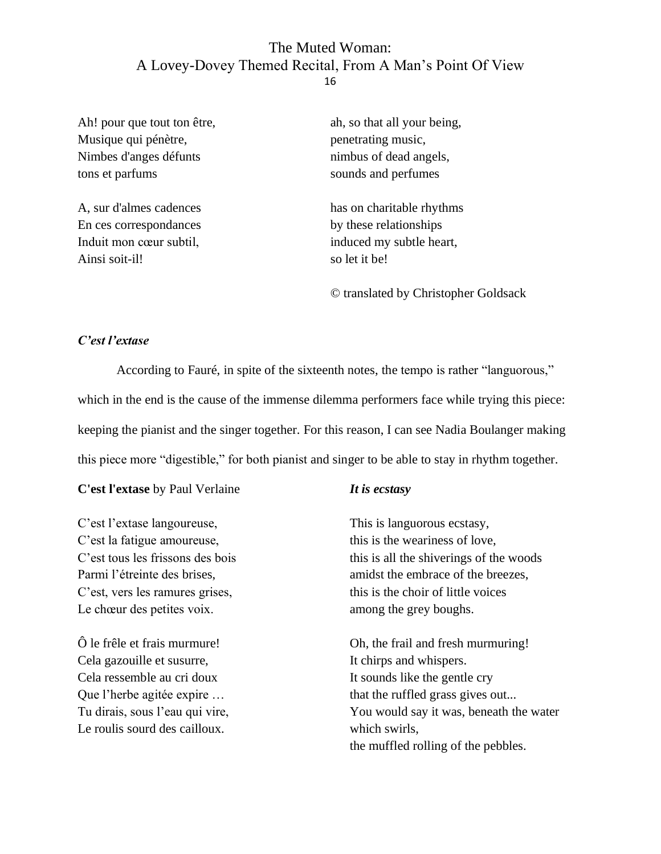Ah! pour que tout ton être, Musique qui pénètre, Nimbes d'anges défunts tons et parfums

A, sur d'almes cadences En ces correspondances Induit mon cœur subtil, Ainsi soit-il!

ah, so that all your being, penetrating music, nimbus of dead angels, sounds and perfumes

has on charitable rhythms by these relationships induced my subtle heart, so let it be!

© translated by Christopher Goldsack

#### <span id="page-16-0"></span>*C'est l'extase*

According to Fauré, in spite of the sixteenth notes, the tempo is rather "languorous," which in the end is the cause of the immense dilemma performers face while trying this piece: keeping the pianist and the singer together. For this reason, I can see Nadia Boulanger making this piece more "digestible," for both pianist and singer to be able to stay in rhythm together.

**C'est l'extase** by Paul Verlaine

C'est l'extase langoureuse, C'est la fatigue amoureuse, C'est tous les frissons des bois Parmi l'étreinte des brises, C'est, vers les ramures grises, Le chœur des petites voix.

Ô le frêle et frais murmure! Cela gazouille et susurre, Cela ressemble au cri doux Que l'herbe agitée expire … Tu dirais, sous l'eau qui vire, Le roulis sourd des cailloux.

### *It is ecstasy*

This is languorous ecstasy, this is the weariness of love, this is all the shiverings of the woods amidst the embrace of the breezes, this is the choir of little voices among the grey boughs.

Oh, the frail and fresh murmuring! It chirps and whispers. It sounds like the gentle cry that the ruffled grass gives out... You would say it was, beneath the water which swirls, the muffled rolling of the pebbles.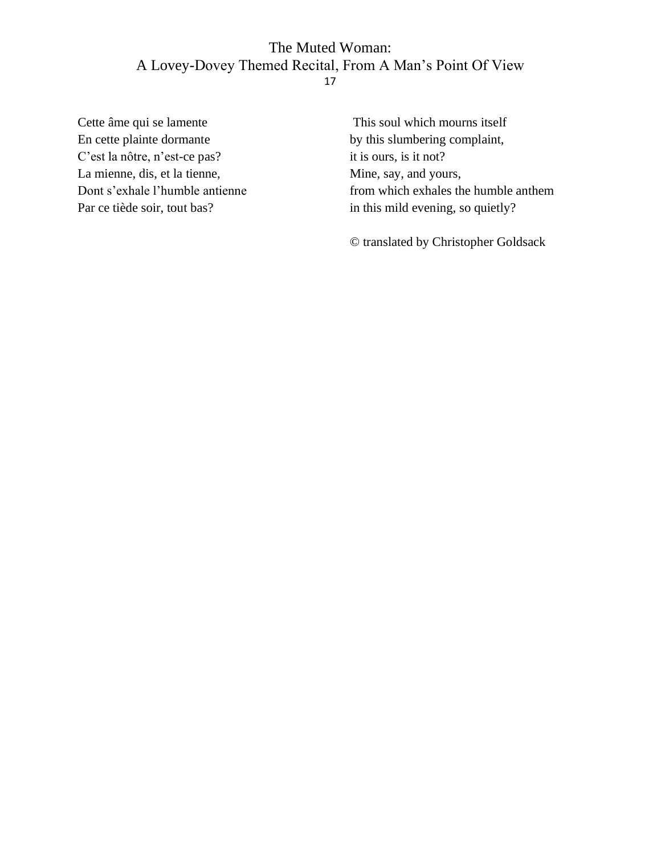Cette âme qui se lamente En cette plainte dormante C'est la nôtre, n'est-ce pas? La mienne, dis, et la tienne, Dont s'exhale l'humble antienne Par ce tiède soir, tout bas?

This soul which mourns itself by this slumbering complaint, it is ours, is it not? Mine, say, and yours, from which exhales the humble anthem in this mild evening, so quietly?

© translated by Christopher Goldsack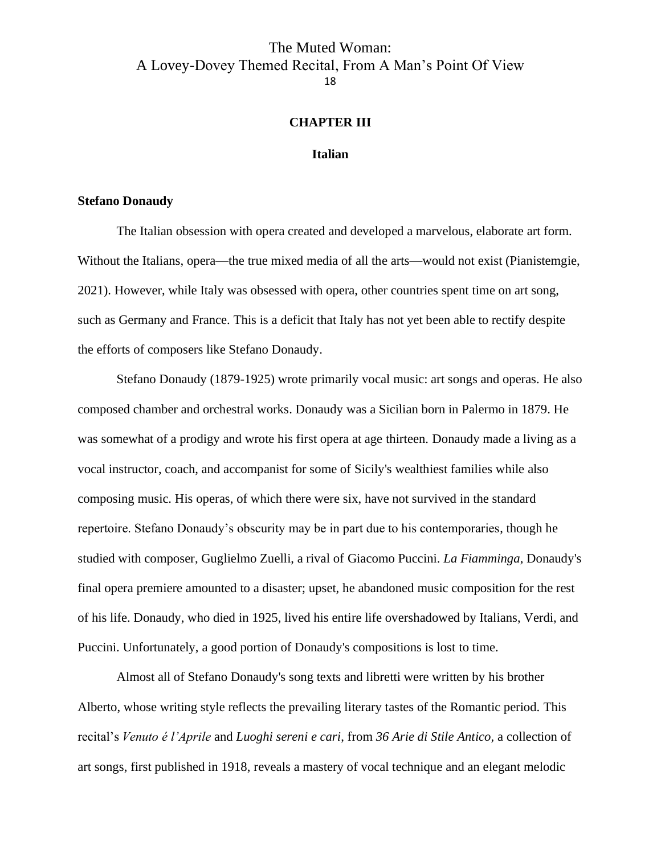#### **CHAPTER III**

#### **Italian**

#### <span id="page-18-2"></span><span id="page-18-1"></span><span id="page-18-0"></span>**Stefano Donaudy**

The Italian obsession with opera created and developed a marvelous, elaborate art form. Without the Italians, opera—the true mixed media of all the arts—would not exist (Pianistemgie, 2021). However, while Italy was obsessed with opera, other countries spent time on art song, such as Germany and France. This is a deficit that Italy has not yet been able to rectify despite the efforts of composers like Stefano Donaudy.

Stefano Donaudy (1879-1925) wrote primarily vocal music: art songs and operas. He also composed chamber and orchestral works. Donaudy was a Sicilian born in Palermo in 1879. He was somewhat of a prodigy and wrote his first opera at age thirteen. Donaudy made a living as a vocal instructor, coach, and accompanist for some of Sicily's wealthiest families while also composing music. His operas, of which there were six, have not survived in the standard repertoire. Stefano Donaudy's obscurity may be in part due to his contemporaries, though he studied with composer, Guglielmo Zuelli, a rival of Giacomo Puccini. *La Fiamminga*, Donaudy's final opera premiere amounted to a disaster; upset, he abandoned music composition for the rest of his life. Donaudy, who died in 1925, lived his entire life overshadowed by Italians, Verdi, and Puccini. Unfortunately, a good portion of Donaudy's compositions is lost to time.

Almost all of Stefano Donaudy's song texts and libretti were written by his brother Alberto, whose writing style reflects the prevailing literary tastes of the Romantic period. This recital's *Venuto é l'Aprile* and *Luoghi sereni e cari*, from *36 Arie di Stile Antico,* a collection of art songs, first published in 1918, reveals a mastery of vocal technique and an elegant melodic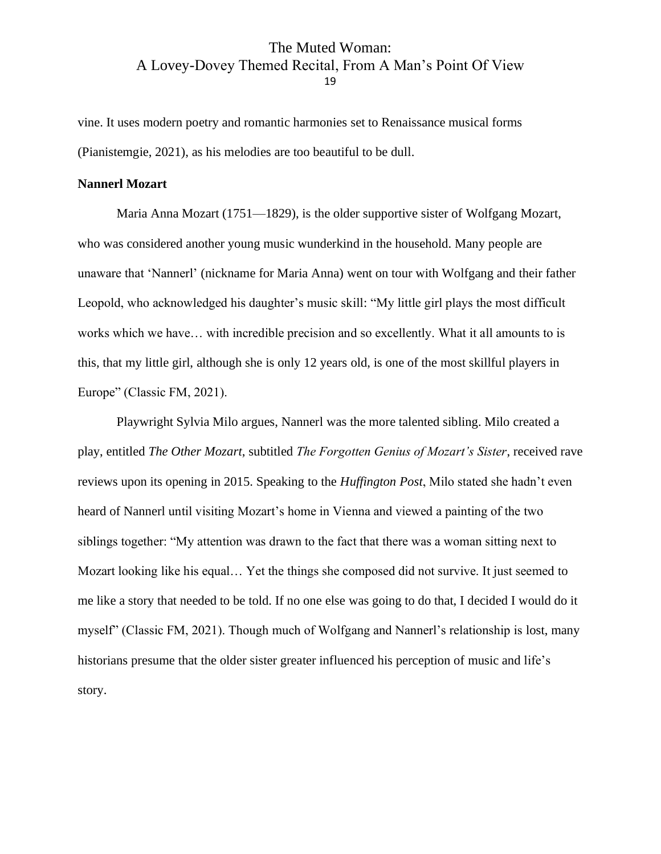vine. It uses modern poetry and romantic harmonies set to Renaissance musical forms (Pianistemgie, 2021), as his melodies are too beautiful to be dull.

#### <span id="page-19-0"></span>**Nannerl Mozart**

Maria Anna Mozart (1751—1829), is the older supportive sister of Wolfgang Mozart, who was considered another young music wunderkind in the household. Many people are unaware that 'Nannerl' (nickname for Maria Anna) went on tour with Wolfgang and their father Leopold, who acknowledged his daughter's music skill: "My little girl plays the most difficult works which we have… with incredible precision and so excellently. What it all amounts to is this, that my little girl, although she is only 12 years old, is one of the most skillful players in Europe" (Classic FM, 2021).

Playwright Sylvia Milo argues, Nannerl was the more talented sibling. Milo created a play, entitled *The Other Mozart*, subtitled *The Forgotten Genius of Mozart's Sister*, received rave reviews upon its opening in 2015. Speaking to the *Huffington Post*, Milo stated she hadn't even heard of Nannerl until visiting Mozart's home in Vienna and viewed a painting of the two siblings together: "My attention was drawn to the fact that there was a woman sitting next to Mozart looking like his equal… Yet the things she composed did not survive. It just seemed to me like a story that needed to be told. If no one else was going to do that, I decided I would do it myself" (Classic FM, 2021). Though much of Wolfgang and Nannerl's relationship is lost, many historians presume that the older sister greater influenced his perception of music and life's story.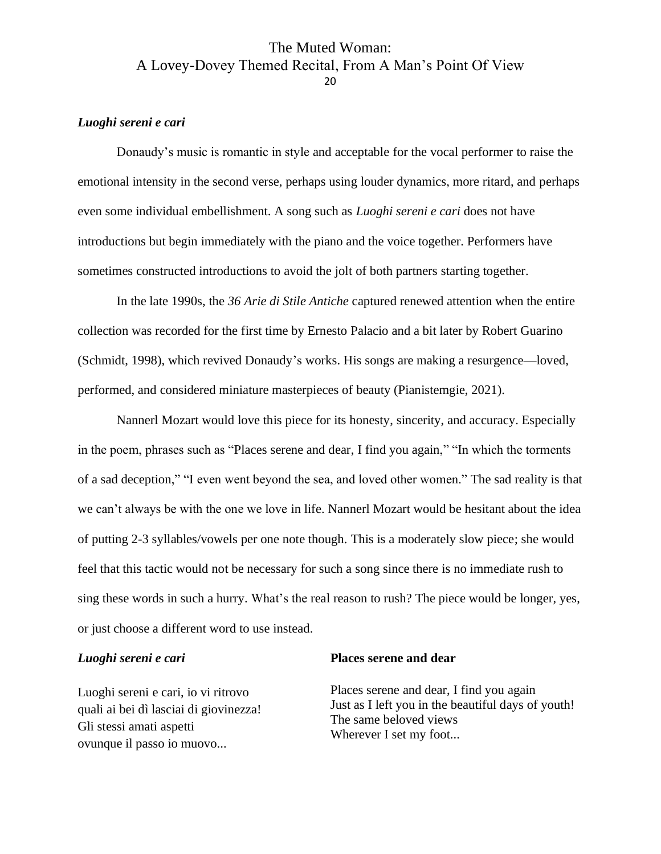#### <span id="page-20-0"></span>*Luoghi sereni e cari*

Donaudy's music is romantic in style and acceptable for the vocal performer to raise the emotional intensity in the second verse, perhaps using louder dynamics, more ritard, and perhaps even some individual embellishment. A song such as *Luoghi sereni e cari* does not have introductions but begin immediately with the piano and the voice together. Performers have sometimes constructed introductions to avoid the jolt of both partners starting together.

In the late 1990s, the *36 Arie di Stile Antiche* captured renewed attention when the entire collection was recorded for the first time by Ernesto Palacio and a bit later by Robert Guarino (Schmidt, 1998), which revived Donaudy's works. His songs are making a resurgence—loved, performed, and considered miniature masterpieces of beauty (Pianistemgie, 2021).

Nannerl Mozart would love this piece for its honesty, sincerity, and accuracy. Especially in the poem, phrases such as "Places serene and dear, I find you again," "In which the torments of a sad deception," "I even went beyond the sea, and loved other women." The sad reality is that we can't always be with the one we love in life. Nannerl Mozart would be hesitant about the idea of putting 2-3 syllables/vowels per one note though. This is a moderately slow piece; she would feel that this tactic would not be necessary for such a song since there is no immediate rush to sing these words in such a hurry. What's the real reason to rush? The piece would be longer, yes, or just choose a different word to use instead.

#### *Luoghi sereni e cari*

Luoghi sereni e cari, io vi ritrovo quali ai bei dì lasciai di giovinezza! Gli stessi amati aspetti ovunque il passo io muovo...

#### **Places serene and dear**

Places serene and dear, I find you again Just as I left you in the beautiful days of youth! The same beloved views Wherever I set my foot...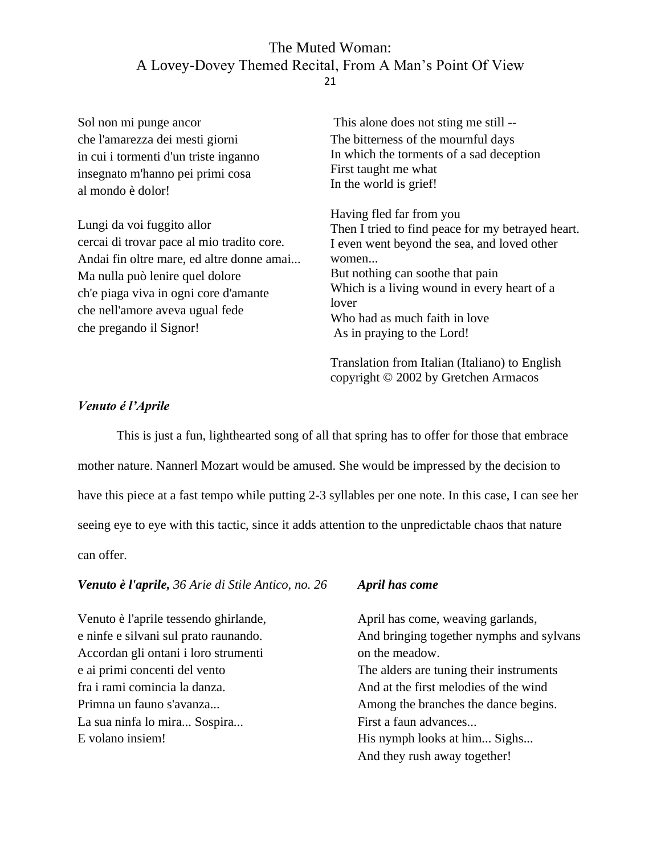Sol non mi punge ancor che l'amarezza dei mesti giorni in cui i tormenti d'un triste inganno insegnato m'hanno pei primi cosa al mondo è dolor! Lungi da voi fuggito allor cercai di trovar pace al mio tradito core. Andai fin oltre mare, ed altre donne amai... Ma nulla può lenire quel dolore ch'e piaga viva in ogni core d'amante che nell'amore aveva ugual fede che pregando il Signor! This alone does not sting me still -- The bitterness of the mournful days In which the torments of a sad deception First taught me what In the world is grief! Having fled far from you Then I tried to find peace for my betrayed heart. I even went beyond the sea, and loved other women... But nothing can soothe that pain Which is a living wound in every heart of a lover Who had as much faith in love As in praying to the Lord!

> Translation from Italian (Italiano) to English copyright © 2002 by Gretchen Armacos

#### <span id="page-21-0"></span>*Venuto é l'Aprile*

This is just a fun, lighthearted song of all that spring has to offer for those that embrace mother nature. Nannerl Mozart would be amused. She would be impressed by the decision to have this piece at a fast tempo while putting 2-3 syllables per one note. In this case, I can see her seeing eye to eye with this tactic, since it adds attention to the unpredictable chaos that nature can offer.

#### *Venuto è l'aprile, 36 Arie di Stile Antico, no. 26*

Venuto è l'aprile tessendo ghirlande, e ninfe e silvani sul prato raunando. Accordan gli ontani i loro strumenti e ai primi concenti del vento fra i rami comincia la danza. Primna un fauno s'avanza... La sua ninfa lo mira... Sospira... E volano insiem!

#### *April has come*

April has come, weaving garlands, And bringing together nymphs and sylvans on the meadow. The alders are tuning their instruments And at the first melodies of the wind Among the branches the dance begins. First a faun advances... His nymph looks at him... Sighs... And they rush away together!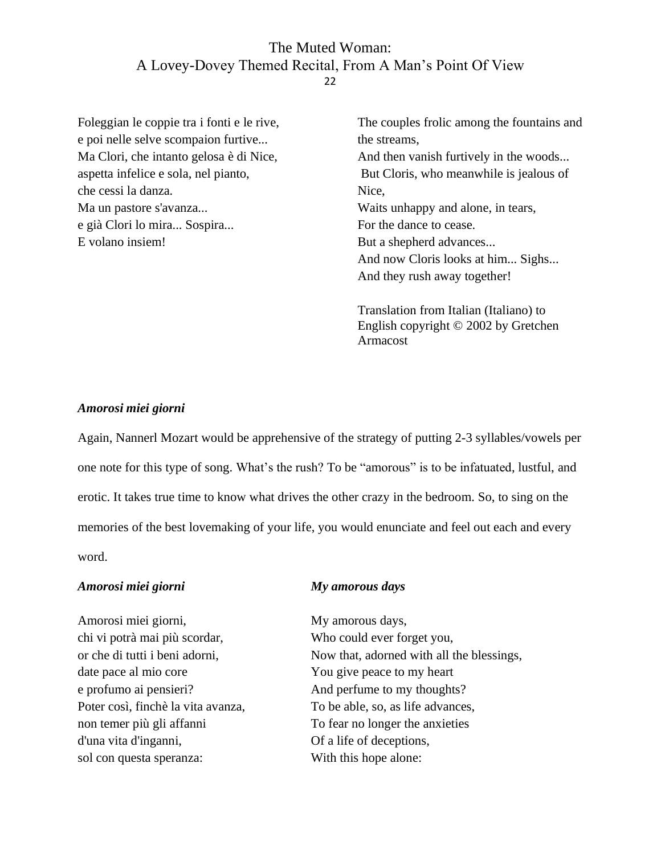Foleggian le coppie tra i fonti e le rive, e poi nelle selve scompaion furtive... Ma Clori, che intanto gelosa è di Nice, aspetta infelice e sola, nel pianto, che cessi la danza. Ma un pastore s'avanza... e già Clori lo mira... Sospira... E volano insiem!

The couples frolic among the fountains and the streams, And then vanish furtively in the woods... But Cloris, who meanwhile is jealous of Nice, Waits unhappy and alone, in tears, For the dance to cease. But a shepherd advances... And now Cloris looks at him... Sighs... And they rush away together!

Translation from Italian (Italiano) to English copyright © 2002 by Gretchen Armacost

#### <span id="page-22-0"></span>*Amorosi miei giorni*

Again, Nannerl Mozart would be apprehensive of the strategy of putting 2-3 syllables/vowels per one note for this type of song. What's the rush? To be "amorous" is to be infatuated, lustful, and erotic. It takes true time to know what drives the other crazy in the bedroom. So, to sing on the memories of the best lovemaking of your life, you would enunciate and feel out each and every word.

#### *Amorosi miei giorni*

Amorosi miei giorni, chi vi potrà mai più scordar, or che di tutti i beni adorni, date pace al mio core e profumo ai pensieri? Poter così, finchè la vita avanza, non temer più gli affanni d'una vita d'inganni, sol con questa speranza:

#### *My amorous days*

My amorous days, Who could ever forget you, Now that, adorned with all the blessings, You give peace to my heart And perfume to my thoughts? To be able, so, as life advances, To fear no longer the anxieties Of a life of deceptions, With this hope alone: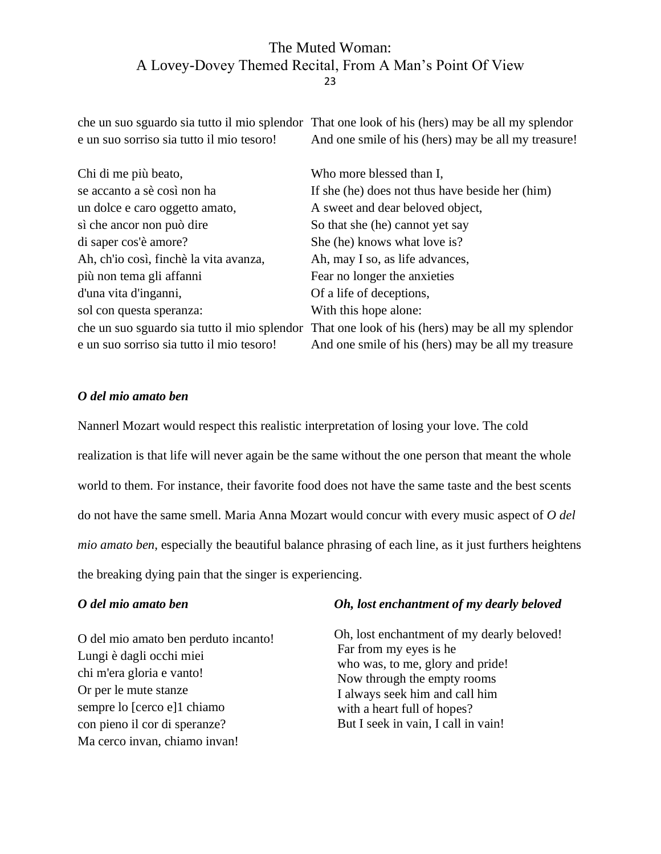che un suo sguardo sia tutto il mio splendor That one look of his (hers) may be all my splendor e un suo sorriso sia tutto il mio tesoro! And one smile of his (hers) may be all my treasure!

| Chi di me più beato,                      | Who more blessed than I,                                                                        |
|-------------------------------------------|-------------------------------------------------------------------------------------------------|
| se accanto a sè così non ha               | If she (he) does not thus have beside her (him)                                                 |
| un dolce e caro oggetto amato,            | A sweet and dear beloved object,                                                                |
| sì che ancor non può dire                 | So that she (he) cannot yet say                                                                 |
| di saper cos'è amore?                     | She (he) knows what love is?                                                                    |
| Ah, ch'io così, finchè la vita avanza,    | Ah, may I so, as life advances,                                                                 |
| più non tema gli affanni                  | Fear no longer the anxieties                                                                    |
| d'una vita d'inganni,                     | Of a life of deceptions,                                                                        |
| sol con questa speranza:                  | With this hope alone:                                                                           |
|                                           | che un suo sguardo sia tutto il mio splendor That one look of his (hers) may be all my splendor |
| e un suo sorriso sia tutto il mio tesoro! | And one smile of his (hers) may be all my treasure                                              |

#### <span id="page-23-0"></span>*O del mio amato ben*

Nannerl Mozart would respect this realistic interpretation of losing your love. The cold realization is that life will never again be the same without the one person that meant the whole world to them. For instance, their favorite food does not have the same taste and the best scents do not have the same smell. Maria Anna Mozart would concur with every music aspect of *O del mio amato ben*, especially the beautiful balance phrasing of each line, as it just furthers heightens the breaking dying pain that the singer is experiencing.

#### *O del mio amato ben*

O del mio amato ben perduto incanto! Lungi è dagli occhi miei chi m'era gloria e vanto! Or per le mute stanze sempre lo [cerco e]1 chiamo con pieno il cor di speranze? Ma cerco invan, chiamo invan!

#### *Oh, lost enchantment of my dearly beloved*

Oh, lost enchantment of my dearly beloved! Far from my eyes is he who was, to me, glory and pride! Now through the empty rooms I always seek him and call him with a heart full of hopes? But I seek in vain, I call in vain!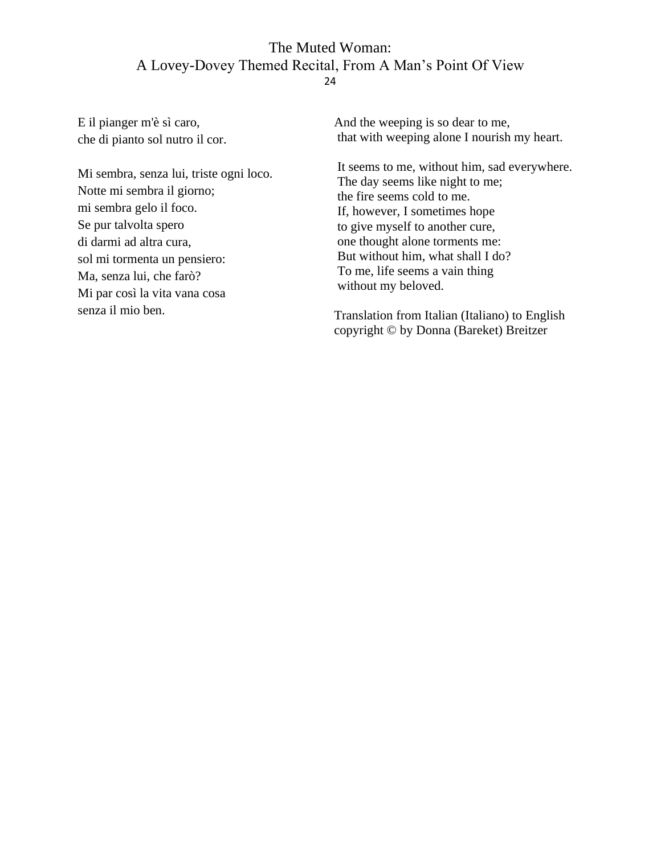E il pianger m'è sì caro, che di pianto sol nutro il cor.

Mi sembra, senza lui, triste ogni loco. Notte mi sembra il giorno; mi sembra gelo il foco. Se pur talvolta spero di darmi ad altra cura, sol mi tormenta un pensiero: Ma, senza lui, che farò? Mi par così la vita vana cosa senza il mio ben.

And the weeping is so dear to me, that with weeping alone I nourish my heart.

It seems to me, without him, sad everywhere. The day seems like night to me; the fire seems cold to me. If, however, I sometimes hope to give myself to another cure, one thought alone torments me: But without him, what shall I do? To me, life seems a vain thing without my beloved.

Translation from Italian (Italiano) to English copyright © by Donna (Bareket) Breitzer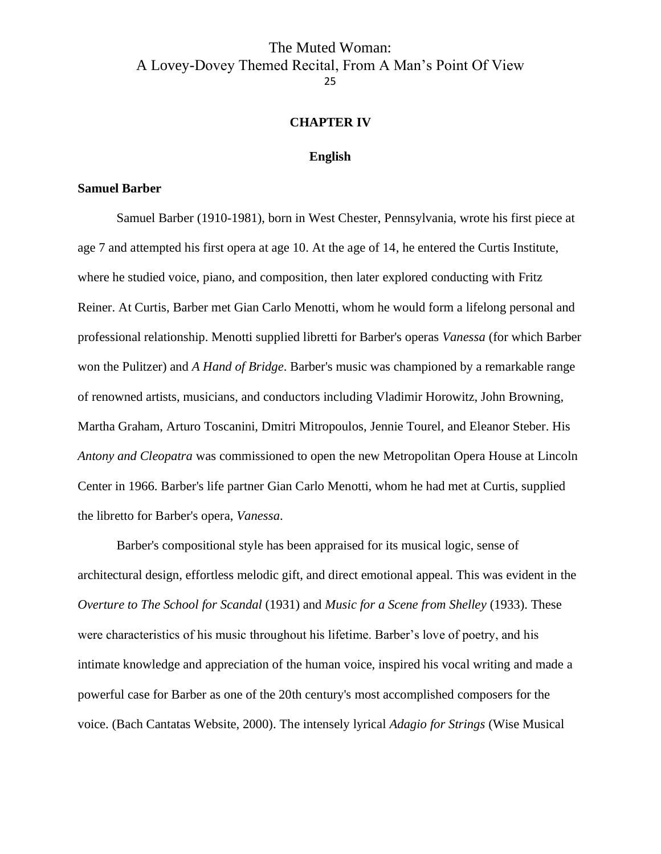#### **CHAPTER IV**

#### **English**

#### <span id="page-25-2"></span><span id="page-25-1"></span><span id="page-25-0"></span>**Samuel Barber**

Samuel Barber (1910-1981), born in West Chester, Pennsylvania, wrote his first piece at age 7 and attempted his first opera at age 10. At the age of 14, he entered the Curtis Institute, where he studied voice, piano, and composition, then later explored conducting with Fritz Reiner. At Curtis, Barber met Gian Carlo Menotti, whom he would form a lifelong personal and professional relationship. Menotti supplied libretti for Barber's operas *Vanessa* (for which Barber won the Pulitzer) and *A Hand of Bridge*. Barber's music was championed by a remarkable range of renowned artists, musicians, and conductors including Vladimir Horowitz, John Browning, Martha Graham, Arturo Toscanini, Dmitri Mitropoulos, Jennie Tourel, and Eleanor Steber. His *Antony and Cleopatra* was commissioned to open the new Metropolitan Opera House at Lincoln Center in 1966. Barber's life partner Gian Carlo Menotti, whom he had met at Curtis, supplied the libretto for Barber's opera, *Vanessa*.

Barber's compositional style has been appraised for its musical logic, sense of architectural design, effortless melodic gift, and direct emotional appeal. This was evident in the *Overture to The School for Scandal* (1931) and *Music for a Scene from Shelley* (1933). These were characteristics of his music throughout his lifetime. Barber's love of poetry, and his intimate knowledge and appreciation of the human voice, inspired his vocal writing and made a powerful case for Barber as one of the 20th century's most accomplished composers for the voice. (Bach Cantatas Website, 2000). The intensely lyrical *Adagio for Strings* (Wise Musical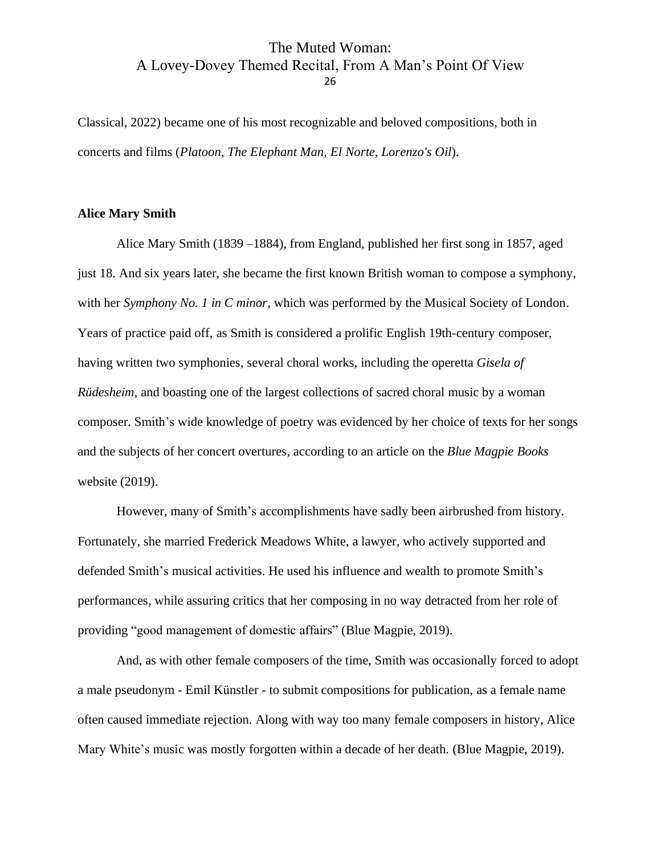Classical, 2022) became one of his most recognizable and beloved compositions, both in concerts and films (*Platoon*, *The Elephant Man*, *El Norte*, *Lorenzo's Oil*).

#### <span id="page-26-0"></span>**Alice Mary Smith**

Alice Mary Smith (1839 –1884), from England, published her first song in 1857, aged just 18. And six years later, she became the first known British woman to compose a symphony, with her *Symphony No. 1 in C minor*, which was performed by the Musical Society of London. Years of practice paid off, as Smith is considered a prolific English 19th-century composer, having written two symphonies, several choral works, including the operetta *Gisela of Rüdesheim*, and boasting one of the largest collections of sacred choral music by a woman composer. Smith's wide knowledge of poetry was evidenced by her choice of texts for her songs and the subjects of her concert overtures, according to an article on the *Blue Magpie Books* website (2019).

However, many of Smith's accomplishments have sadly been airbrushed from history. Fortunately, she married Frederick Meadows White, a lawyer, who actively supported and defended Smith's musical activities. He used his influence and wealth to promote Smith's performances, while assuring critics that her composing in no way detracted from her role of providing "good management of domestic affairs" (Blue Magpie, 2019).

And, as with other female composers of the time, Smith was occasionally forced to adopt a male pseudonym - Emil Künstler - to submit compositions for publication, as a female name often caused immediate rejection. Along with way too many female composers in history, Alice Mary White's music was mostly forgotten within a decade of her death. (Blue Magpie, 2019).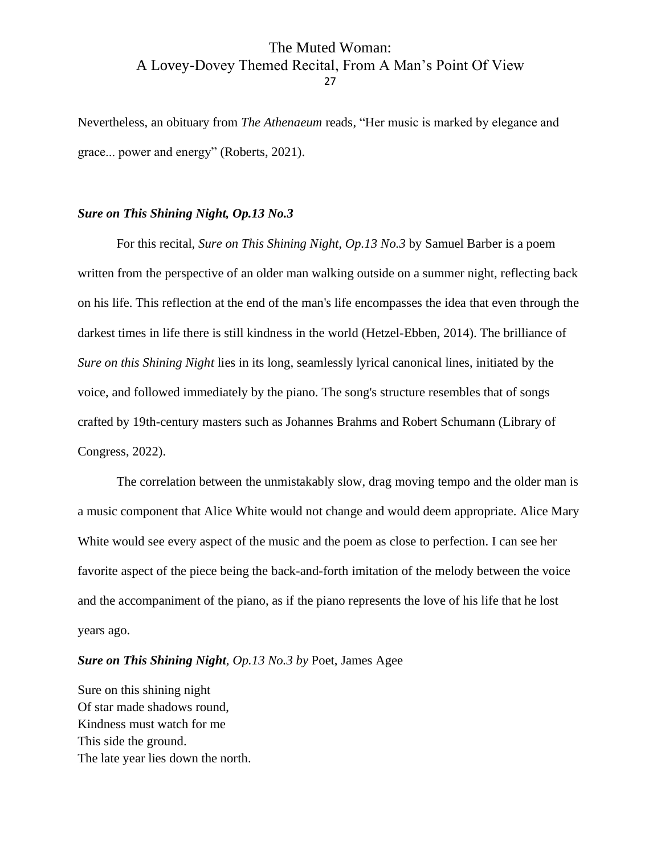Nevertheless, an obituary from *The Athenaeum* reads, "Her music is marked by elegance and grace... power and energy" (Roberts, 2021).

#### <span id="page-27-0"></span>*Sure on This Shining Night, Op.13 No.3*

For this recital, *Sure on This Shining Night, Op.13 No.3* by Samuel Barber is a poem written from the perspective of an older man walking outside on a summer night, reflecting back on his life. This reflection at the end of the man's life encompasses the idea that even through the darkest times in life there is still kindness in the world (Hetzel-Ebben, 2014). The brilliance of *Sure on this Shining Night* lies in its long, seamlessly lyrical canonical lines, initiated by the voice, and followed immediately by the piano. The song's structure resembles that of songs crafted by 19th-century masters such as Johannes Brahms and Robert Schumann (Library of Congress, 2022).

The correlation between the unmistakably slow, drag moving tempo and the older man is a music component that Alice White would not change and would deem appropriate. Alice Mary White would see every aspect of the music and the poem as close to perfection. I can see her favorite aspect of the piece being the back-and-forth imitation of the melody between the voice and the accompaniment of the piano, as if the piano represents the love of his life that he lost years ago.

#### *Sure on This Shining Night, Op.13 No.3 by* Poet, James Agee

Sure on this shining night Of star made shadows round, Kindness must watch for me This side the ground. The late year lies down the north.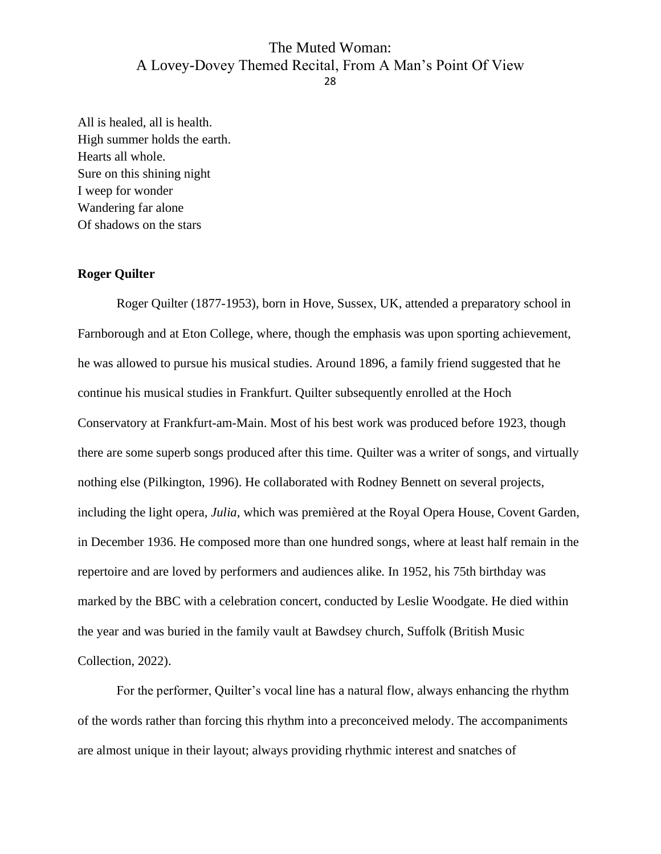All is healed, all is health. High summer holds the earth. Hearts all whole. Sure on this shining night I weep for wonder Wandering far alone Of shadows on the stars

#### <span id="page-28-0"></span>**Roger Quilter**

Roger Quilter (1877-1953), born in Hove, Sussex, UK, attended a preparatory school in Farnborough and at Eton College, where, though the emphasis was upon sporting achievement, he was allowed to pursue his musical studies. Around 1896, a family friend suggested that he continue his musical studies in Frankfurt. Quilter subsequently enrolled at the Hoch Conservatory at Frankfurt-am-Main. Most of his best work was produced before 1923, though there are some superb songs produced after this time. Quilter was a writer of songs, and virtually nothing else (Pilkington, 1996). He collaborated with Rodney Bennett on several projects, including the light opera, *Julia*, which was premièred at the Royal Opera House, Covent Garden, in December 1936. He composed more than one hundred songs, where at least half remain in the repertoire and are loved by performers and audiences alike. In 1952, his 75th birthday was marked by the BBC with a celebration concert, conducted by Leslie Woodgate. He died within the year and was buried in the family vault at Bawdsey church, Suffolk (British Music Collection, 2022).

For the performer, Quilter's vocal line has a natural flow, always enhancing the rhythm of the words rather than forcing this rhythm into a preconceived melody. The accompaniments are almost unique in their layout; always providing rhythmic interest and snatches of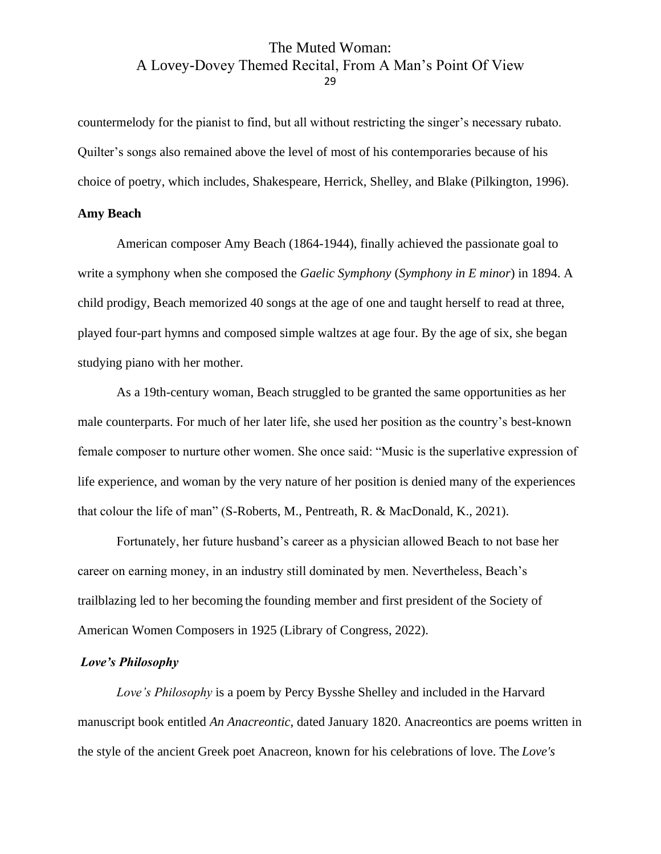countermelody for the pianist to find, but all without restricting the singer's necessary rubato. Quilter's songs also remained above the level of most of his contemporaries because of his choice of poetry, which includes, Shakespeare, Herrick, Shelley, and Blake (Pilkington, 1996).

#### <span id="page-29-0"></span>**Amy Beach**

American composer Amy Beach (1864-1944), finally achieved the passionate goal to write a symphony when she composed the *Gaelic Symphony* (*Symphony in E minor*) in 1894. A child prodigy, Beach memorized 40 songs at the age of one and taught herself to read at three, played four-part hymns and composed simple waltzes at age four. By the age of six, she began studying piano with her mother.

As a 19th-century woman, Beach struggled to be granted the same opportunities as her male counterparts. For much of her later life, she used her position as the country's best-known female composer to nurture other women. She once said: "Music is the superlative expression of life experience, and woman by the very nature of her position is denied many of the experiences that colour the life of man" (S-Roberts, M., Pentreath, R. & MacDonald, K., 2021).

Fortunately, her future husband's career as a physician allowed Beach to not base her career on earning money, in an industry still dominated by men. Nevertheless, Beach's trailblazing led to her becoming the founding member and first president of the Society of American Women Composers in 1925 (Library of Congress, 2022).

#### <span id="page-29-1"></span>*Love's Philosophy*

*Love's Philosophy* is a poem by Percy Bysshe Shelley and included in the Harvard manuscript book entitled *An Anacreontic*, dated January 1820. Anacreontics are poems written in the style of the ancient Greek poet Anacreon, known for his celebrations of love. The *Love's*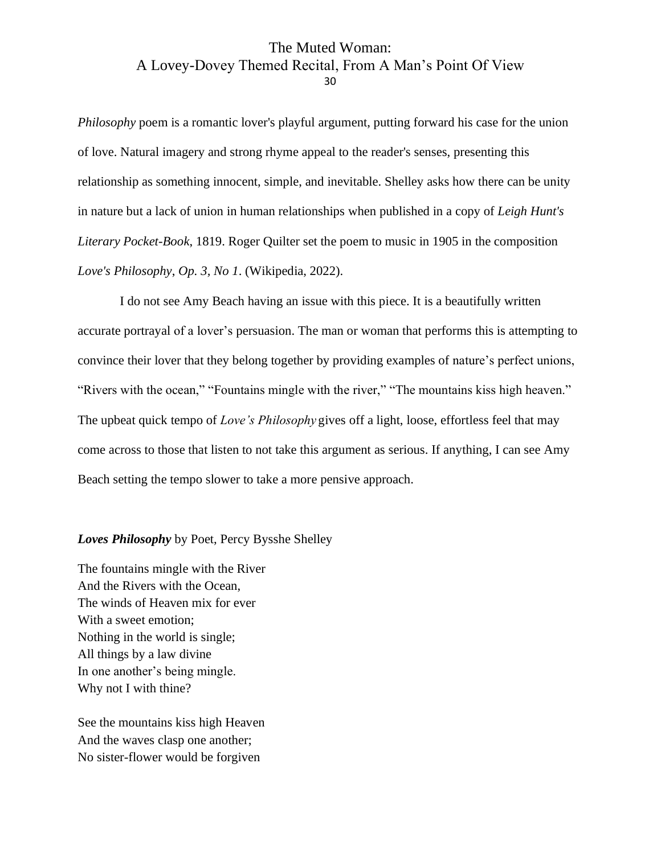*Philosophy* poem is a romantic lover's playful argument, putting forward his case for the union of love. Natural imagery and strong rhyme appeal to the reader's senses, presenting this relationship as something innocent, simple, and inevitable. Shelley asks how there can be unity in nature but a lack of union in human relationships when published in a copy of *Leigh Hunt's Literary Pocket-Book*, 1819. Roger Quilter set the poem to music in 1905 in the composition *Love's Philosophy*, *Op. 3, No 1*. (Wikipedia, 2022).

I do not see Amy Beach having an issue with this piece. It is a beautifully written accurate portrayal of a lover's persuasion. The man or woman that performs this is attempting to convince their lover that they belong together by providing examples of nature's perfect unions, "Rivers with the ocean," "Fountains mingle with the river," "The mountains kiss high heaven." The upbeat quick tempo of *Love's Philosophy* gives off a light, loose, effortless feel that may come across to those that listen to not take this argument as serious. If anything, I can see Amy Beach setting the tempo slower to take a more pensive approach.

#### *Loves Philosophy* by Poet, Percy Bysshe Shelley

The fountains mingle with the River And the Rivers with the Ocean, The winds of Heaven mix for ever With a sweet emotion; Nothing in the world is single; All things by a law divine In one another's being mingle. Why not I with thine?

See the mountains kiss high Heaven And the waves clasp one another; No sister-flower would be forgiven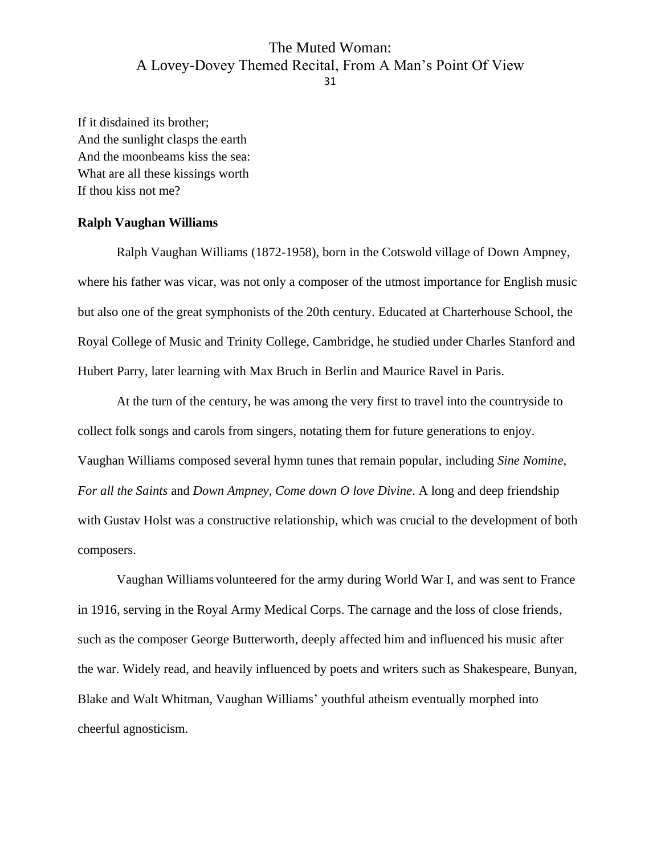If it disdained its brother; And the sunlight clasps the earth And the moonbeams kiss the sea: What are all these kissings worth If thou kiss not me?

#### <span id="page-31-0"></span>**Ralph Vaughan Williams**

Ralph Vaughan Williams (1872-1958), born in the Cotswold village of Down Ampney, where his father was vicar, was not only a composer of the utmost importance for English music but also one of the great symphonists of the 20th century. Educated at Charterhouse School, the Royal College of Music and Trinity College, Cambridge, he studied under Charles Stanford and Hubert Parry, later learning with Max Bruch in Berlin and Maurice Ravel in Paris.

At the turn of the century, he was among the very first to travel into the countryside to collect folk songs and carols from singers, notating them for future generations to enjoy. Vaughan Williams composed several hymn tunes that remain popular, including *Sine Nomine*, *For all the Saints* and *Down Ampney*, *Come down O love Divine*. A long and deep friendship with Gustav Holst was a constructive relationship, which was crucial to the development of both composers.

Vaughan Williams volunteered for the army during World War I, and was sent to France in 1916, serving in the Royal Army Medical Corps. The carnage and the loss of close friends, such as the composer George Butterworth, deeply affected him and influenced his music after the war. Widely read, and heavily influenced by poets and writers such as Shakespeare, Bunyan, Blake and Walt Whitman, Vaughan Williams' youthful atheism eventually morphed into cheerful agnosticism.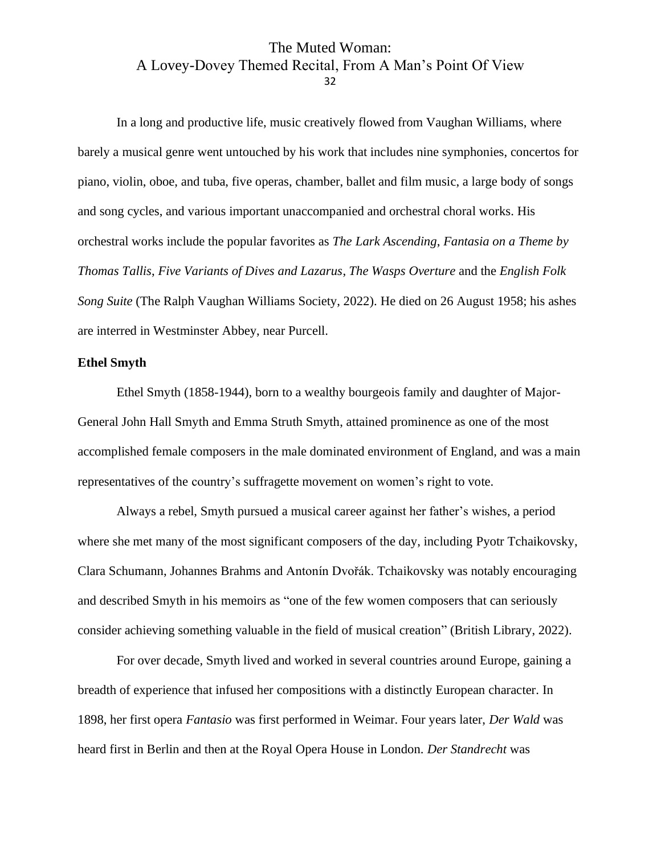In a long and productive life, music creatively flowed from Vaughan Williams, where barely a musical genre went untouched by his work that includes nine symphonies, concertos for piano, violin, oboe, and tuba, five operas, chamber, ballet and film music, a large body of songs and song cycles, and various important unaccompanied and orchestral choral works. His orchestral works include the popular favorites as *The Lark Ascending*, *Fantasia on a Theme by Thomas Tallis*, *Five Variants of Dives and Lazarus*, *The Wasps Overture* and the *English Folk Song Suite* (The Ralph Vaughan Williams Society, 2022). He died on 26 August 1958; his ashes are interred in Westminster Abbey, near Purcell.

#### <span id="page-32-0"></span>**Ethel Smyth**

Ethel Smyth (1858-1944), born to a wealthy bourgeois family and daughter of Major-General John Hall Smyth and Emma Struth Smyth, attained prominence as one of the most accomplished female composers in the male dominated environment of England, and was a main representatives of the country's suffragette movement on women's right to vote.

Always a rebel, Smyth pursued a musical career against her father's wishes, a period where she met many of the most significant composers of the day, including Pyotr Tchaikovsky, Clara Schumann, Johannes Brahms and Antonín Dvořák. Tchaikovsky was notably encouraging and described Smyth in his memoirs as "one of the few women composers that can seriously consider achieving something valuable in the field of musical creation" (British Library, 2022).

For over decade, Smyth lived and worked in several countries around Europe, gaining a breadth of experience that infused her compositions with a distinctly European character. In 1898, her first opera *Fantasio* was first performed in Weimar. Four years later, *Der Wald* was heard first in Berlin and then at the Royal Opera House in London. *Der Standrecht* was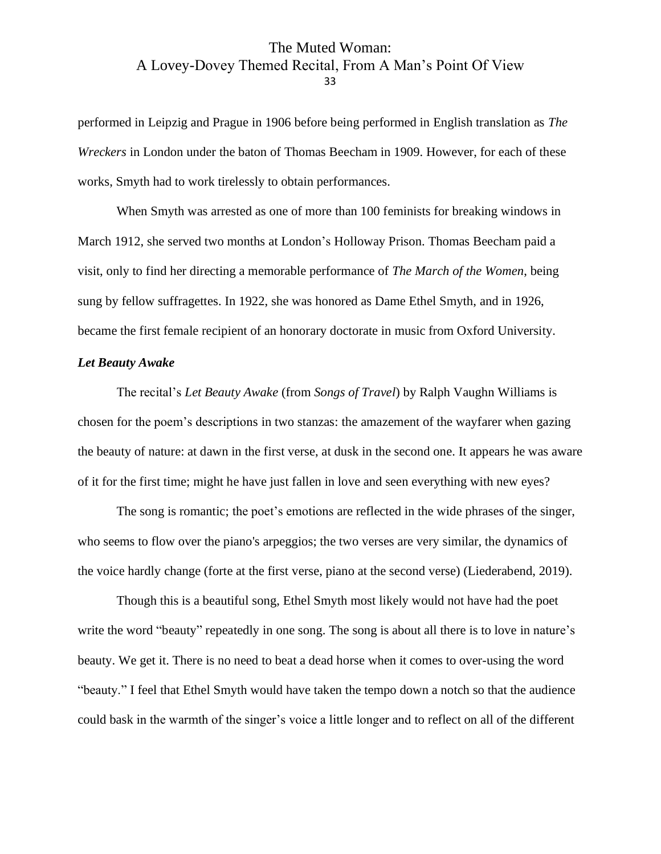performed in Leipzig and Prague in 1906 before being performed in English translation as *The Wreckers* in London under the baton of Thomas Beecham in 1909. However, for each of these works, Smyth had to work tirelessly to obtain performances.

When Smyth was arrested as one of more than 100 feminists for breaking windows in March 1912, she served two months at London's Holloway Prison. Thomas Beecham paid a visit, only to find her directing a memorable performance of *The March of the Women*, being sung by fellow suffragettes. In 1922, she was honored as Dame Ethel Smyth, and in 1926, became the first female recipient of an honorary doctorate in music from Oxford University.

#### <span id="page-33-0"></span>*Let Beauty Awake*

The recital's *Let Beauty Awake* (from *Songs of Travel*) by Ralph Vaughn Williams is chosen for the poem's descriptions in two stanzas: the amazement of the wayfarer when gazing the beauty of nature: at dawn in the first verse, at dusk in the second one. It appears he was aware of it for the first time; might he have just fallen in love and seen everything with new eyes?

The song is romantic; the poet's emotions are reflected in the wide phrases of the singer, who seems to flow over the piano's arpeggios; the two verses are very similar, the dynamics of the voice hardly change (forte at the first verse, piano at the second verse) (Liederabend, 2019).

Though this is a beautiful song, Ethel Smyth most likely would not have had the poet write the word "beauty" repeatedly in one song. The song is about all there is to love in nature's beauty. We get it. There is no need to beat a dead horse when it comes to over-using the word "beauty." I feel that Ethel Smyth would have taken the tempo down a notch so that the audience could bask in the warmth of the singer's voice a little longer and to reflect on all of the different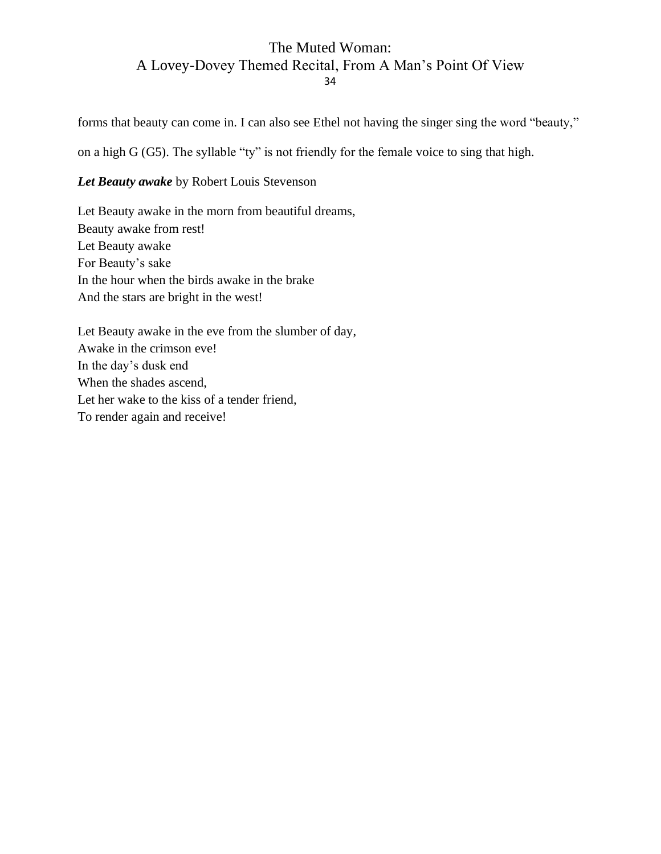forms that beauty can come in. I can also see Ethel not having the singer sing the word "beauty,"

on a high G (G5). The syllable "ty" is not friendly for the female voice to sing that high.

# *Let Beauty awake* by Robert Louis Stevenson

Let Beauty awake in the morn from beautiful dreams, Beauty awake from rest! Let Beauty awake For Beauty's sake In the hour when the birds awake in the brake And the stars are bright in the west!

<span id="page-34-0"></span>Let Beauty awake in the eve from the slumber of day, Awake in the crimson eve! In the day's dusk end When the shades ascend, Let her wake to the kiss of a tender friend, To render again and receive!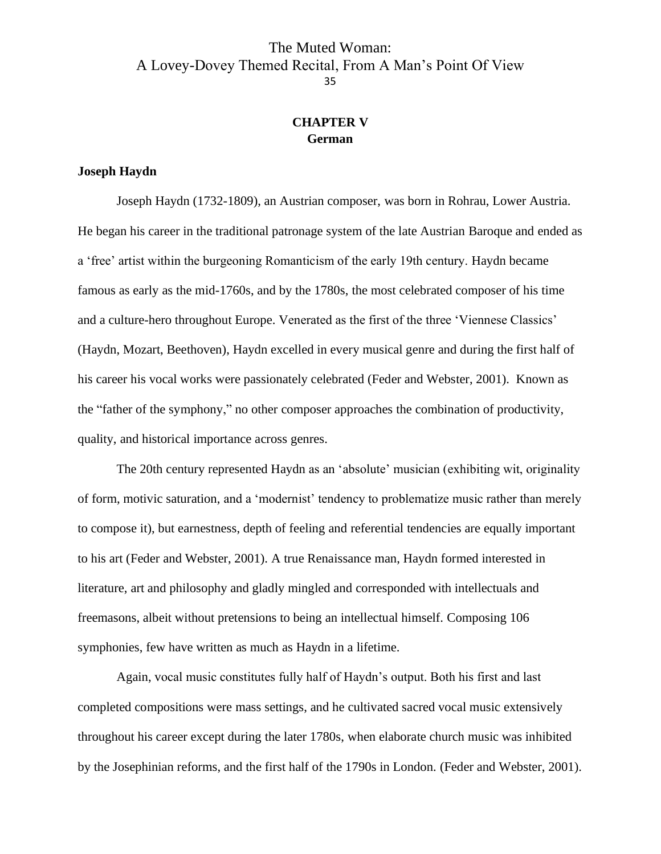# **CHAPTER V German**

#### <span id="page-35-1"></span><span id="page-35-0"></span>**Joseph Haydn**

Joseph Haydn (1732-1809), an Austrian composer, was born in Rohrau, Lower Austria. He began his career in the traditional patronage system of the late Austrian Baroque and ended as a 'free' artist within the burgeoning Romanticism of the early 19th century. Haydn became famous as early as the mid-1760s, and by the 1780s, the most celebrated composer of his time and a culture-hero throughout Europe. Venerated as the first of the three 'Viennese Classics' (Haydn, Mozart, Beethoven), Haydn excelled in every musical genre and during the first half of his career his vocal works were passionately celebrated (Feder and Webster, 2001). Known as the "father of the symphony," no other composer approaches the combination of productivity, quality, and historical importance across genres.

The 20th century represented Haydn as an 'absolute' musician (exhibiting wit, originality of form, motivic saturation, and a 'modernist' tendency to problematize music rather than merely to compose it), but earnestness, depth of feeling and referential tendencies are equally important to his art (Feder and Webster, 2001). A true Renaissance man, Haydn formed interested in literature, art and philosophy and gladly mingled and corresponded with intellectuals and freemasons, albeit without pretensions to being an intellectual himself. Composing 106 symphonies, few have written as much as Haydn in a lifetime.

Again, vocal music constitutes fully half of Haydn's output. Both his first and last completed compositions were mass settings, and he cultivated sacred vocal music extensively throughout his career except during the later 1780s, when elaborate church music was inhibited by the Josephinian reforms, and the first half of the 1790s in London. (Feder and Webster, 2001).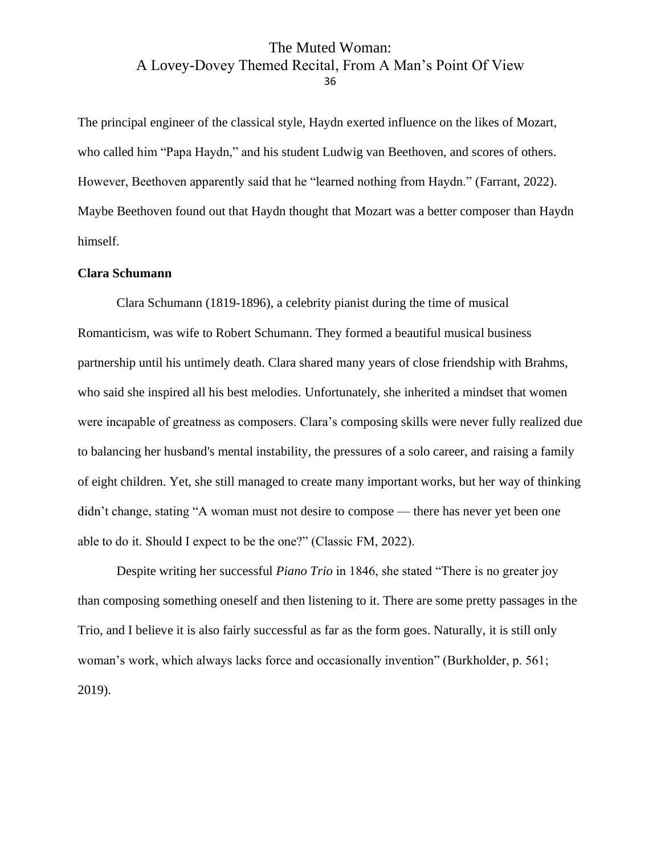The principal engineer of the classical style, Haydn exerted influence on the likes of Mozart, who called him "Papa Haydn," and his student Ludwig van Beethoven, and scores of others. However, Beethoven apparently said that he "learned nothing from Haydn." (Farrant, 2022). Maybe Beethoven found out that Haydn thought that Mozart was a better composer than Haydn himself.

### <span id="page-36-0"></span>**Clara Schumann**

Clara Schumann (1819-1896), a celebrity pianist during the time of musical Romanticism, was wife to Robert Schumann. They formed a beautiful musical business partnership until his untimely death. Clara shared many years of close friendship with Brahms, who said she inspired all his best melodies. Unfortunately, she inherited a mindset that women were incapable of greatness as composers. Clara's composing skills were never fully realized due to balancing her husband's mental instability, the pressures of a solo career, and raising a family of eight children. Yet, she still managed to create many important works, but her way of thinking didn't change, stating "A woman must not desire to compose — there has never yet been one able to do it. Should I expect to be the one?" (Classic FM, 2022).

Despite writing her successful *Piano Trio* in 1846, she stated "There is no greater joy than composing something oneself and then listening to it. There are some pretty passages in the Trio, and I believe it is also fairly successful as far as the form goes. Naturally, it is still only woman's work, which always lacks force and occasionally invention" (Burkholder, p. 561; 2019).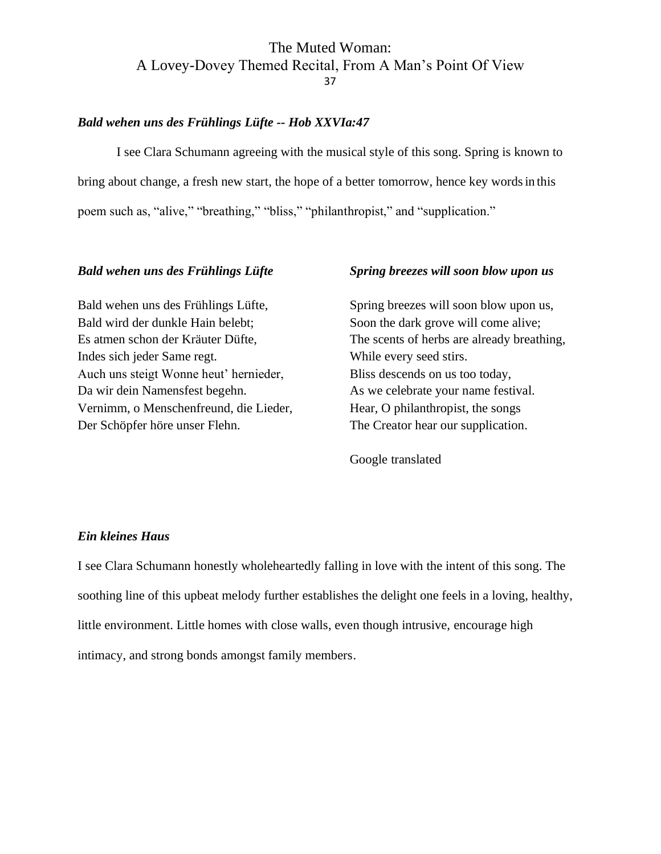#### <span id="page-37-0"></span>*Bald wehen uns des Frühlings Lüfte -- Hob XXVIa:47*

I see Clara Schumann agreeing with the musical style of this song. Spring is known to bring about change, a fresh new start, the hope of a better tomorrow, hence key wordsin this poem such as, "alive," "breathing," "bliss," "philanthropist," and "supplication."

#### *Bald wehen uns des Frühlings Lüfte*

Bald wehen uns des Frühlings Lüfte, Bald wird der dunkle Hain belebt; Es atmen schon der Kräuter Düfte, Indes sich jeder Same regt. Auch uns steigt Wonne heut' hernieder, Da wir dein Namensfest begehn. Vernimm, o Menschenfreund, die Lieder, Der Schöpfer höre unser Flehn.

#### *Spring breezes will soon blow upon us*

Spring breezes will soon blow upon us, Soon the dark grove will come alive; The scents of herbs are already breathing, While every seed stirs. Bliss descends on us too today, As we celebrate your name festival. Hear, O philanthropist, the songs The Creator hear our supplication.

Google translated

#### <span id="page-37-1"></span>*Ein kleines Haus*

I see Clara Schumann honestly wholeheartedly falling in love with the intent of this song. The soothing line of this upbeat melody further establishes the delight one feels in a loving, healthy, little environment. Little homes with close walls, even though intrusive, encourage high intimacy, and strong bonds amongst family members.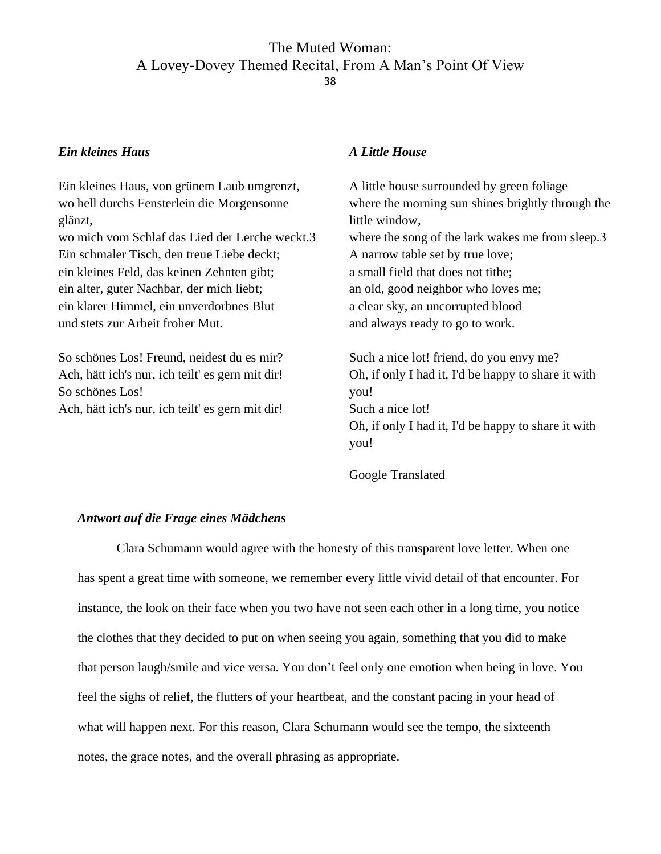#### *Ein kleines Haus*

Ein kleines Haus, von grünem Laub umgrenzt, wo hell durchs Fensterlein die Morgensonne glänzt, wo mich vom Schlaf das Lied der Lerche weckt.3 Ein schmaler Tisch, den treue Liebe deckt; ein kleines Feld, das keinen Zehnten gibt; ein alter, guter Nachbar, der mich liebt; ein klarer Himmel, ein unverdorbnes Blut und stets zur Arbeit froher Mut.

So schönes Los! Freund, neidest du es mir? Ach, hätt ich's nur, ich teilt' es gern mit dir! So schönes Los! Ach, hätt ich's nur, ich teilt' es gern mit dir!

#### *A Little House*

A little house surrounded by green foliage where the morning sun shines brightly through the little window, where the song of the lark wakes me from sleep.3 A narrow table set by true love; a small field that does not tithe; an old, good neighbor who loves me; a clear sky, an uncorrupted blood and always ready to go to work.

Such a nice lot! friend, do you envy me? Oh, if only I had it, I'd be happy to share it with you! Such a nice lot! Oh, if only I had it, I'd be happy to share it with you!

Google Translated

### <span id="page-38-0"></span>*Antwort auf die Frage eines Mädchens*

Clara Schumann would agree with the honesty of this transparent love letter. When one has spent a great time with someone, we remember every little vivid detail of that encounter. For instance, the look on their face when you two have not seen each other in a long time, you notice the clothes that they decided to put on when seeing you again, something that you did to make that person laugh/smile and vice versa. You don't feel only one emotion when being in love. You feel the sighs of relief, the flutters of your heartbeat, and the constant pacing in your head of what will happen next. For this reason, Clara Schumann would see the tempo, the sixteenth notes, the grace notes, and the overall phrasing as appropriate.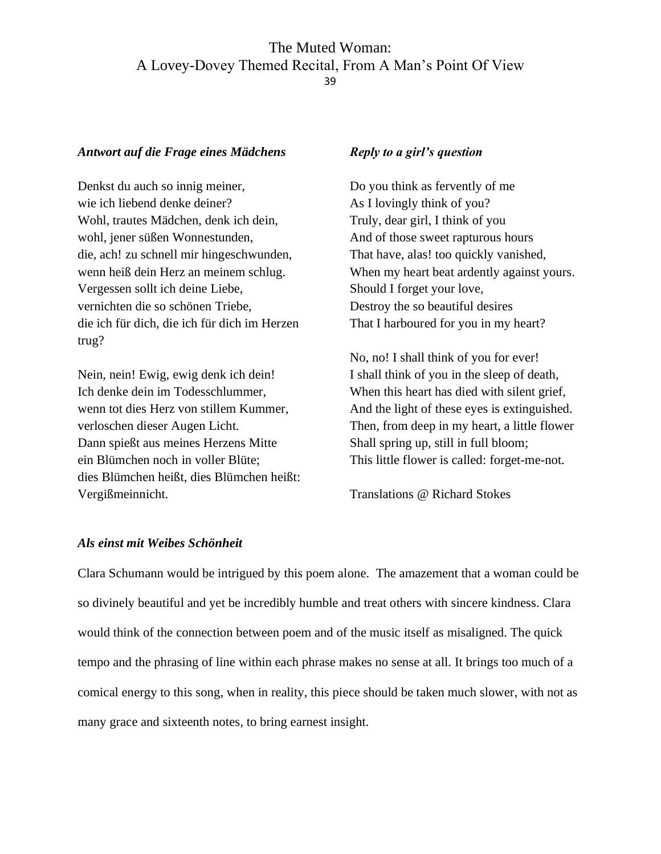#### *Antwort auf die Frage eines Mädchens*

Denkst du auch so innig meiner, wie ich liebend denke deiner? Wohl, trautes Mädchen, denk ich dein, wohl, jener süßen Wonnestunden, die, ach! zu schnell mir hingeschwunden, wenn heiß dein Herz an meinem schlug. Vergessen sollt ich deine Liebe, vernichten die so schönen Triebe, die ich für dich, die ich für dich im Herzen trug?

Nein, nein! Ewig, ewig denk ich dein! Ich denke dein im Todesschlummer, wenn tot dies Herz von stillem Kummer, verloschen dieser Augen Licht. Dann spießt aus meines Herzens Mitte ein Blümchen noch in voller Blüte; dies Blümchen heißt, dies Blümchen heißt: Vergißmeinnicht.

#### *Reply to a girl's question*

Do you think as fervently of me As I lovingly think of you? Truly, dear girl, I think of you And of those sweet rapturous hours That have, alas! too quickly vanished, When my heart beat ardently against yours. Should I forget your love, Destroy the so beautiful desires That I harboured for you in my heart?

No, no! I shall think of you for ever! I shall think of you in the sleep of death, When this heart has died with silent grief, And the light of these eyes is extinguished. Then, from deep in my heart, a little flower Shall spring up, still in full bloom; This little flower is called: forget-me-not.

Translations @ Richard Stokes

#### <span id="page-39-0"></span>*Als einst mit Weibes Schönheit*

Clara Schumann would be intrigued by this poem alone. The amazement that a woman could be so divinely beautiful and yet be incredibly humble and treat others with sincere kindness. Clara would think of the connection between poem and of the music itself as misaligned. The quick tempo and the phrasing of line within each phrase makes no sense at all. It brings too much of a comical energy to this song, when in reality, this piece should be taken much slower, with not as many grace and sixteenth notes, to bring earnest insight.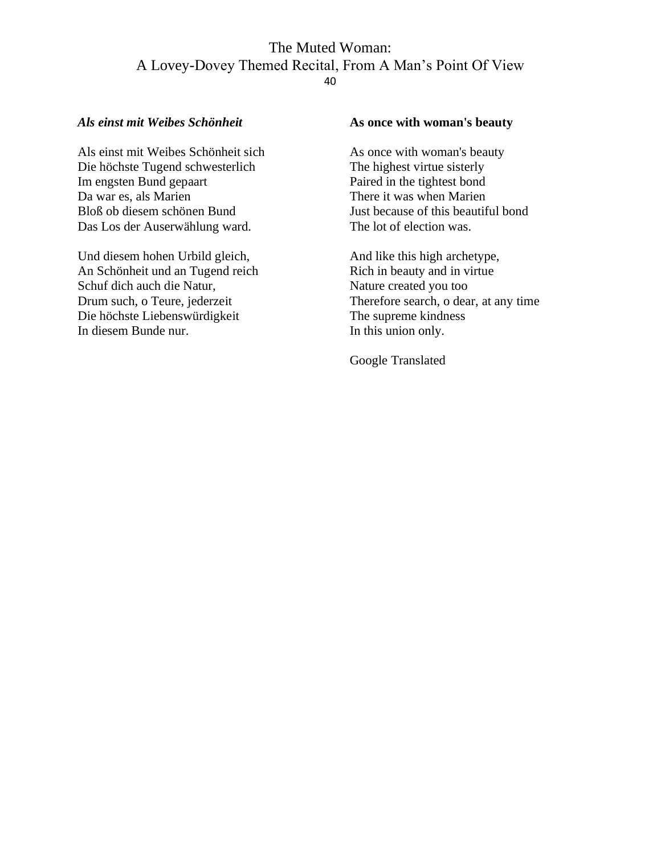#### *Als einst mit Weibes Schönheit*

Als einst mit Weibes Schönheit sich Die höchste Tugend schwesterlich Im engsten Bund gepaart Da war es, als Marien Bloß ob diesem schönen Bund Das Los der Auserwählung ward.

Und diesem hohen Urbild gleich, An Schönheit und an Tugend reich Schuf dich auch die Natur, Drum such, o Teure, jederzeit Die höchste Liebenswürdigkeit In diesem Bunde nur.

#### **As once with woman's beauty**

As once with woman's beauty The highest virtue sisterly Paired in the tightest bond There it was when Marien Just because of this beautiful bond The lot of election was.

And like this high archetype, Rich in beauty and in virtue Nature created you too Therefore search, o dear, at any time The supreme kindness In this union only.

Google Translated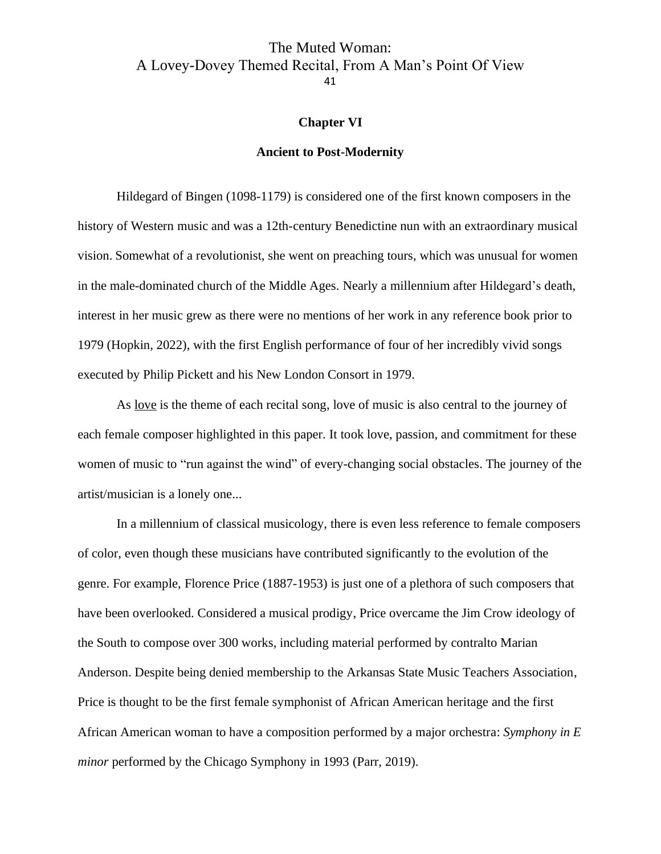#### **Chapter VI**

#### **Ancient to Post-Modernity**

<span id="page-41-1"></span><span id="page-41-0"></span>Hildegard of Bingen (1098-1179) is considered one of the first known composers in the history of Western music and was a 12th-century Benedictine nun with an extraordinary musical vision. Somewhat of a revolutionist, she went on preaching tours, which was unusual for women in the male-dominated church of the Middle Ages. Nearly a millennium after Hildegard's death, interest in her music grew as there were no mentions of her work in any reference book prior to 1979 (Hopkin, 2022), with the first English performance of four of her incredibly vivid songs executed by Philip Pickett and his New London Consort in 1979.

As love is the theme of each recital song, love of music is also central to the journey of each female composer highlighted in this paper. It took love, passion, and commitment for these women of music to "run against the wind" of every-changing social obstacles. The journey of the artist/musician is a lonely one...

In a millennium of classical musicology, there is even less reference to female composers of color, even though these musicians have contributed significantly to the evolution of the genre. For example, Florence Price (1887-1953) is just one of a plethora of such composers that have been overlooked. Considered a musical prodigy, Price overcame the Jim Crow ideology of the South to compose over 300 works, including material performed by contralto Marian Anderson. Despite being denied membership to the Arkansas State Music Teachers Association, Price is thought to be the first female symphonist of African American heritage and the first African American woman to have a composition performed by a major orchestra: *Symphony in E minor* performed by the Chicago Symphony in 1993 (Parr, 2019).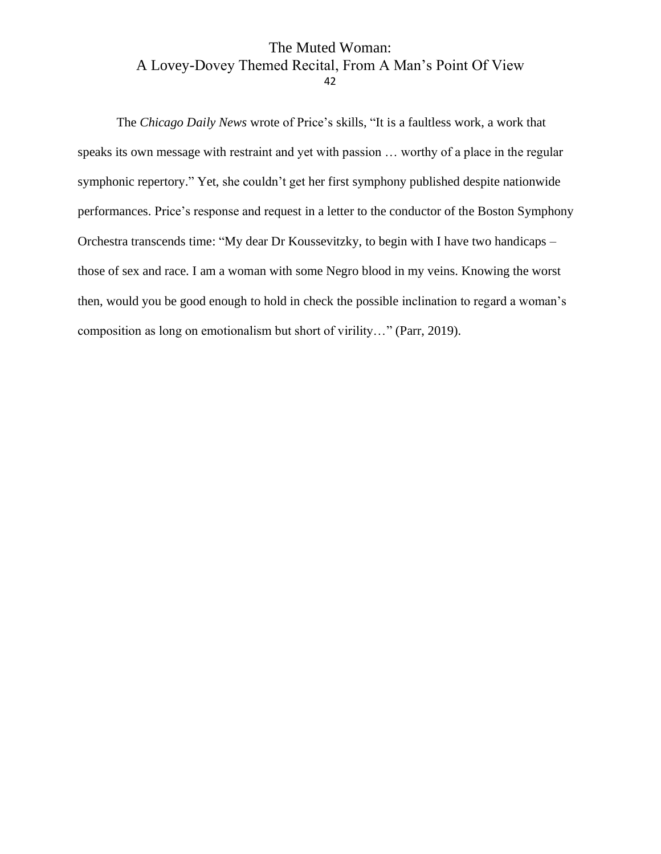The *Chicago Daily News* wrote of Price's skills, "It is a faultless work, a work that speaks its own message with restraint and yet with passion … worthy of a place in the regular symphonic repertory." Yet, she couldn't get her first symphony published despite nationwide performances. Price's response and request in a letter to the conductor of the Boston Symphony Orchestra transcends time: "My dear Dr Koussevitzky, to begin with I have two handicaps – those of sex and race. I am a woman with some Negro blood in my veins. Knowing the worst then, would you be good enough to hold in check the possible inclination to regard a woman's composition as long on emotionalism but short of virility…" (Parr, 2019).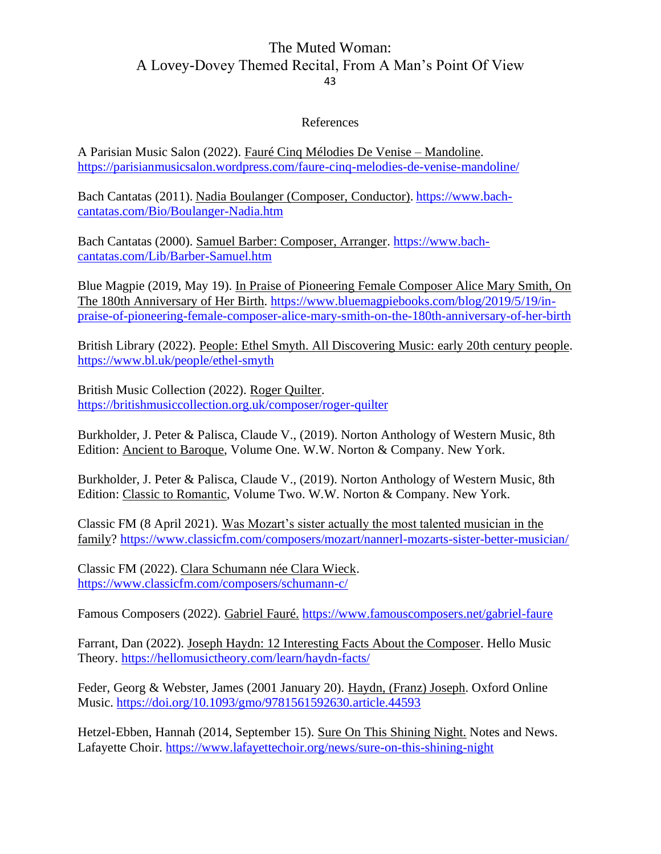#### References

<span id="page-43-0"></span>A Parisian Music Salon (2022). Fauré Cinq Mélodies De Venise – Mandoline. <https://parisianmusicsalon.wordpress.com/faure-cinq-melodies-de-venise-mandoline/>

Bach Cantatas (2011). Nadia Boulanger (Composer, Conductor). [https://www.bach](https://www.bach-cantatas.com/Bio/Boulanger-Nadia.htm)[cantatas.com/Bio/Boulanger-Nadia.htm](https://www.bach-cantatas.com/Bio/Boulanger-Nadia.htm)

Bach Cantatas (2000). Samuel Barber: Composer, Arranger. [https://www.bach](https://www.bach-cantatas.com/Lib/Barber-Samuel.htm)[cantatas.com/Lib/Barber-Samuel.htm](https://www.bach-cantatas.com/Lib/Barber-Samuel.htm)

Blue Magpie (2019, May 19). In Praise of Pioneering Female Composer Alice Mary Smith, On The 180th Anniversary of Her Birth. [https://www.bluemagpiebooks.com/blog/2019/5/19/in](https://www.bluemagpiebooks.com/blog/2019/5/19/in-praise-of-pioneering-female-composer-alice-mary-smith-on-the-180th-anniversary-of-her-birth)[praise-of-pioneering-female-composer-alice-mary-smith-on-the-180th-anniversary-of-her-birth](https://www.bluemagpiebooks.com/blog/2019/5/19/in-praise-of-pioneering-female-composer-alice-mary-smith-on-the-180th-anniversary-of-her-birth)

British Library (2022). People: Ethel Smyth. All Discovering Music: early 20th century people. <https://www.bl.uk/people/ethel-smyth>

British Music Collection (2022). Roger Quilter. <https://britishmusiccollection.org.uk/composer/roger-quilter>

Burkholder, J. Peter & Palisca, Claude V., (2019). Norton Anthology of Western Music, 8th Edition: Ancient to Baroque, Volume One. W.W. Norton & Company. New York.

Burkholder, J. Peter & Palisca, Claude V., (2019). Norton Anthology of Western Music, 8th Edition: Classic to Romantic, Volume Two. W.W. Norton & Company. New York.

Classic FM (8 April 2021). Was Mozart's sister actually the most talented musician in the family? <https://www.classicfm.com/composers/mozart/nannerl-mozarts-sister-better-musician/>

Classic FM (2022). Clara Schumann née Clara Wieck. <https://www.classicfm.com/composers/schumann-c/>

Famous Composers (2022). Gabriel Fauré. <https://www.famouscomposers.net/gabriel-faure>

Farrant, Dan (2022). Joseph Haydn: 12 Interesting Facts About the Composer. Hello Music Theory.<https://hellomusictheory.com/learn/haydn-facts/>

Feder, Georg & Webster, James (2001 January 20). Haydn, (Franz) Joseph. Oxford Online Music.<https://doi.org/10.1093/gmo/9781561592630.article.44593>

Hetzel-Ebben, Hannah (2014, September 15). Sure On This Shining Night. Notes and News. Lafayette Choir.<https://www.lafayettechoir.org/news/sure-on-this-shining-night>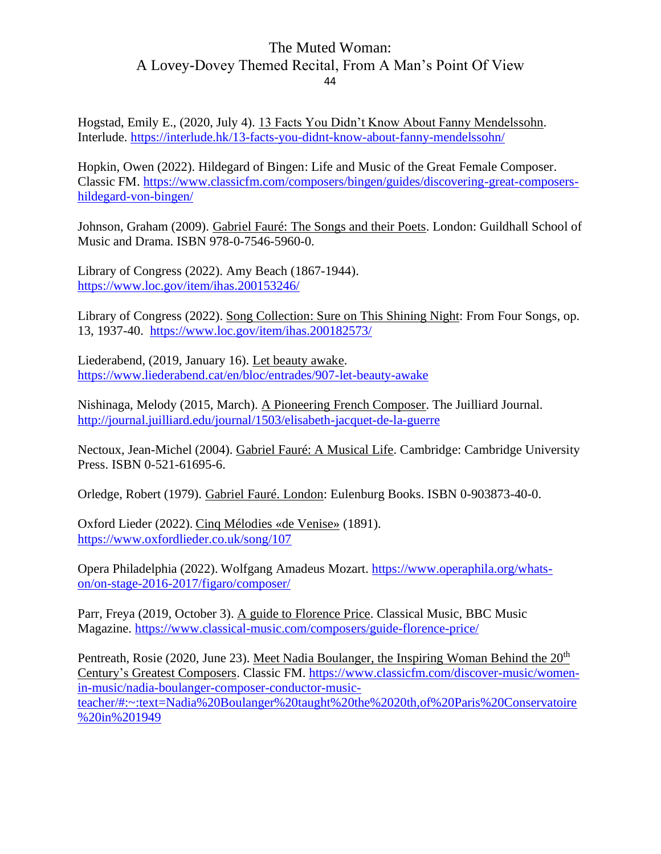Hogstad, Emily E., (2020, July 4). 13 Facts You Didn't Know About Fanny Mendelssohn. Interlude.<https://interlude.hk/13-facts-you-didnt-know-about-fanny-mendelssohn/>

Hopkin, Owen (2022). Hildegard of Bingen: Life and Music of the Great Female Composer. Classic FM. [https://www.classicfm.com/composers/bingen/guides/discovering-great-composers](https://www.classicfm.com/composers/bingen/guides/discovering-great-composers-hildegard-von-bingen/)[hildegard-von-bingen/](https://www.classicfm.com/composers/bingen/guides/discovering-great-composers-hildegard-von-bingen/)

Johnson, Graham (2009). Gabriel Fauré: The Songs and their Poets. London: Guildhall School of Music and Drama. ISBN 978-0-7546-5960-0.

Library of Congress (2022). Amy Beach (1867-1944). <https://www.loc.gov/item/ihas.200153246/>

Library of Congress (2022). Song Collection: Sure on This Shining Night: From Four Songs, op. 13, 1937-40. <https://www.loc.gov/item/ihas.200182573/>

Liederabend, (2019, January 16). Let beauty awake. <https://www.liederabend.cat/en/bloc/entrades/907-let-beauty-awake>

Nishinaga, Melody (2015, March). A Pioneering French Composer. The Juilliard Journal. <http://journal.juilliard.edu/journal/1503/elisabeth-jacquet-de-la-guerre>

Nectoux, Jean-Michel (2004). Gabriel Fauré: A Musical Life. Cambridge: Cambridge University Press. ISBN 0-521-61695-6.

Orledge, Robert (1979). Gabriel Fauré. London: Eulenburg Books. ISBN 0-903873-40-0.

Oxford Lieder (2022). Cinq Mélodies «de Venise» (1891). <https://www.oxfordlieder.co.uk/song/107>

Opera Philadelphia (2022). Wolfgang Amadeus Mozart. [https://www.operaphila.org/whats](https://www.operaphila.org/whats-on/on-stage-2016-2017/figaro/composer/)[on/on-stage-2016-2017/figaro/composer/](https://www.operaphila.org/whats-on/on-stage-2016-2017/figaro/composer/)

Parr, Freya (2019, October 3). A guide to Florence Price. Classical Music, BBC Music Magazine.<https://www.classical-music.com/composers/guide-florence-price/>

Pentreath, Rosie (2020, June 23). Meet Nadia Boulanger, the Inspiring Woman Behind the 20<sup>th</sup> Century's Greatest Composers. Classic FM. [https://www.classicfm.com/discover-music/women](https://www.classicfm.com/discover-music/women-in-music/nadia-boulanger-composer-conductor-music-teacher/#:~:text=Nadia%20Boulanger%20taught%20the%2020th,of%20Paris%20Conservatoire%20in%201949)[in-music/nadia-boulanger-composer-conductor-music](https://www.classicfm.com/discover-music/women-in-music/nadia-boulanger-composer-conductor-music-teacher/#:~:text=Nadia%20Boulanger%20taught%20the%2020th,of%20Paris%20Conservatoire%20in%201949)[teacher/#:~:text=Nadia%20Boulanger%20taught%20the%2020th,of%20Paris%20Conservatoire](https://www.classicfm.com/discover-music/women-in-music/nadia-boulanger-composer-conductor-music-teacher/#:~:text=Nadia%20Boulanger%20taught%20the%2020th,of%20Paris%20Conservatoire%20in%201949) [%20in%201949](https://www.classicfm.com/discover-music/women-in-music/nadia-boulanger-composer-conductor-music-teacher/#:~:text=Nadia%20Boulanger%20taught%20the%2020th,of%20Paris%20Conservatoire%20in%201949)